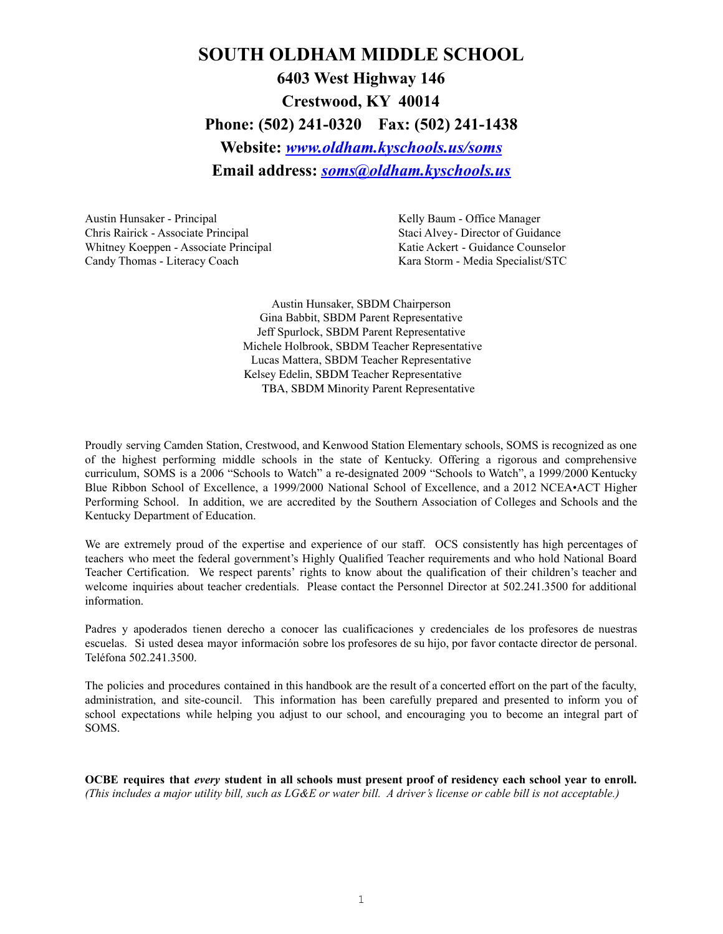# **SOUTH OLDHAM MIDDLE SCHOOL 6403 West Highway 146 Crestwood, KY 40014 Phone: (502) 241-0320 Fax: (502) 241-1438 Website:** *[www.oldham.kyschools.us/soms](http://www.oldham.kyschools.us/soms)* **Email address:** *[soms@oldham.kyschools.us](mailto:soms@oldham.kyschools.us)*

Austin Hunsaker - Principal New York 1988 (Kelly Baum - Office Manager Chris Rairick - Associate Principal Staci Alvey- Director of Guidance Whitney Koeppen - Associate Principal Katie Ackert - Guidance Counselor Candy Thomas - Literacy Coach Kara Storm - Media Specialist/STC

Austin Hunsaker, SBDM Chairperson Gina Babbit, SBDM Parent Representative Jeff Spurlock, SBDM Parent Representative Michele Holbrook, SBDM Teacher Representative Lucas Mattera, SBDM Teacher Representative Kelsey Edelin, SBDM Teacher Representative TBA, SBDM Minority Parent Representative

Proudly serving Camden Station, Crestwood, and Kenwood Station Elementary schools, SOMS is recognized as one of the highest performing middle schools in the state of Kentucky. Offering a rigorous and comprehensive curriculum, SOMS is a 2006 "Schools to Watch" a re-designated 2009 "Schools to Watch", a 1999/2000 Kentucky Blue Ribbon School of Excellence, a 1999/2000 National School of Excellence, and a 2012 NCEA•ACT Higher Performing School. In addition, we are accredited by the Southern Association of Colleges and Schools and the Kentucky Department of Education.

We are extremely proud of the expertise and experience of our staff. OCS consistently has high percentages of teachers who meet the federal government's Highly Qualified Teacher requirements and who hold National Board Teacher Certification. We respect parents' rights to know about the qualification of their children's teacher and welcome inquiries about teacher credentials. Please contact the Personnel Director at 502.241.3500 for additional information.

Padres y apoderados tienen derecho a conocer las cualificaciones y credenciales de los profesores de nuestras escuelas. Si usted desea mayor información sobre los profesores de su hijo, por favor contacte director de personal. Teléfona 502.241.3500.

The policies and procedures contained in this handbook are the result of a concerted effort on the part of the faculty, administration, and site-council. This information has been carefully prepared and presented to inform you of school expectations while helping you adjust to our school, and encouraging you to become an integral part of SOMS.

OCBE requires that every student in all schools must present proof of residency each school year to enroll. (This includes a major utility bill, such as  $LGAE$  or water bill. A driver's license or cable bill is not acceptable.)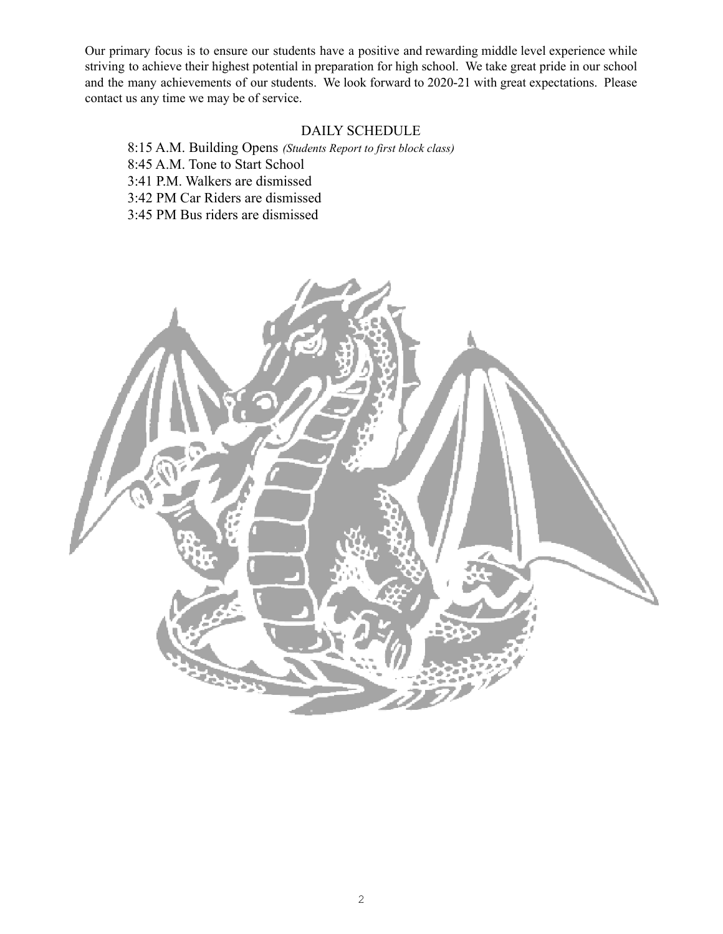Our primary focus is to ensure our students have a positive and rewarding middle level experience while striving to achieve their highest potential in preparation for high school. We take great pride in our school and the many achievements of our students. We look forward to 2020-21 with great expectations. Please contact us any time we may be of service.

# DAILY SCHEDULE

8:15 A.M. Building Opens *(Students Report to first block class)* 8:45 A.M. Tone to Start School 3:41 P.M. Walkers are dismissed 3:42 PM Car Riders are dismissed

3:45 PM Bus riders are dismissed

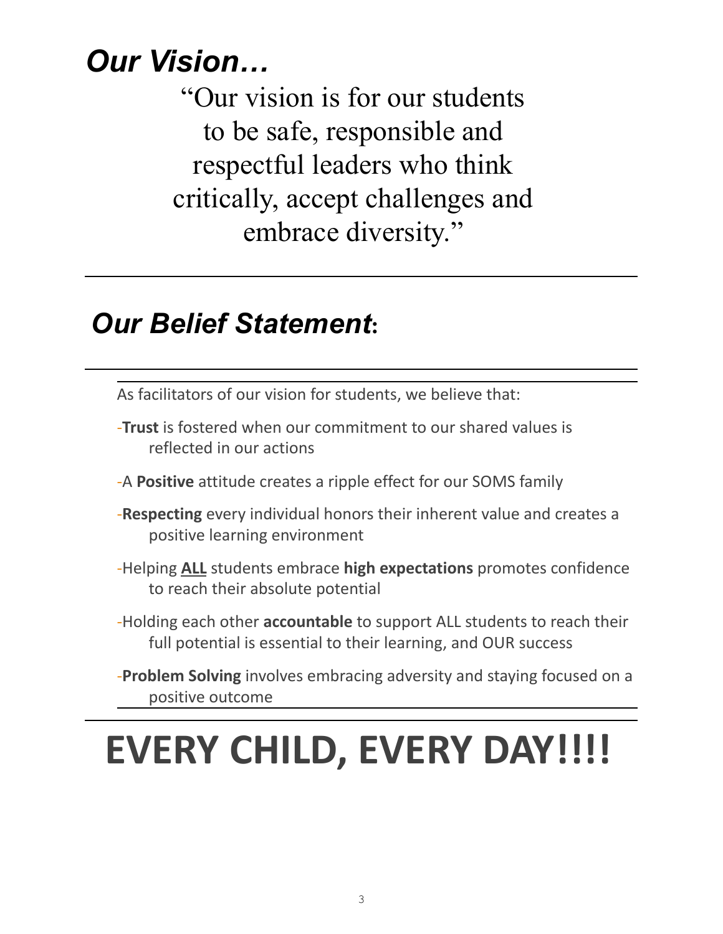# *Our Vision…*

"Our vision is for our students to be safe, responsible and respectful leaders who think critically, accept challenges and embrace diversity."

# *Our Belief Statement***:**

As facilitators of our vision for students, we believe that:

- -**Trust** is fostered when our commitment to our shared values is reflected in our actions
- -A **Positive** attitude creates a ripple effect for our SOMS family
- -**Respecting** every individual honors their inherent value and creates a positive learning environment
- -Helping **ALL** students embrace **high expectations** promotes confidence to reach their absolute potential
- -Holding each other **accountable** to support ALL students to reach their full potential is essential to their learning, and OUR success
- -**Problem Solving** involves embracing adversity and staying focused on a positive outcome

# **EVERY CHILD, EVERY DAY!!!!**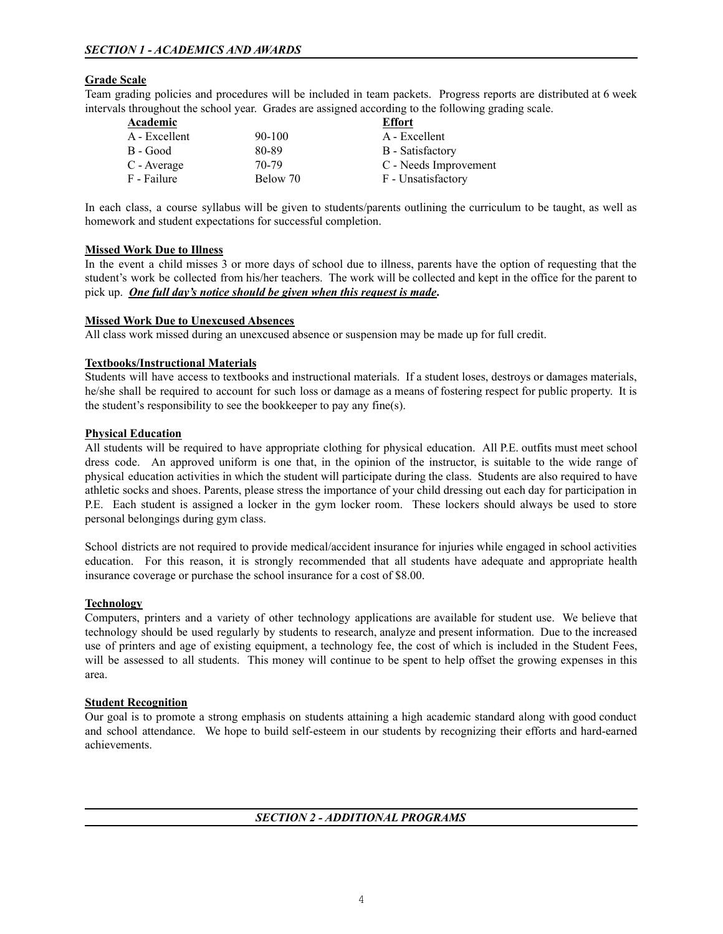# **Grade Scale**

Team grading policies and procedures will be included in team packets. Progress reports are distributed at 6 week intervals throughout the school year. Grades are assigned according to the following grading scale.

| <b>Academic</b> |            | <b>Effort</b>         |  |  |
|-----------------|------------|-----------------------|--|--|
| A - Excellent   | $90 - 100$ | A - Excellent         |  |  |
| B - Good        | 80-89      | B - Satisfactory      |  |  |
| C - Average     | $70-79$    | C - Needs Improvement |  |  |
| F - Failure     | Below 70   | F - Unsatisfactory    |  |  |

In each class, a course syllabus will be given to students/parents outlining the curriculum to be taught, as well as homework and student expectations for successful completion.

# **Missed Work Due to Illness**

In the event a child misses 3 or more days of school due to illness, parents have the option of requesting that the student's work be collected from his/her teachers. The work will be collected and kept in the office for the parent to pick up. *One full day's notice should be given when this request is made***.**

# **Missed Work Due to Unexcused Absences**

All class work missed during an unexcused absence or suspension may be made up for full credit.

# **Textbooks/Instructional Materials**

Students will have access to textbooks and instructional materials. If a student loses, destroys or damages materials, he/she shall be required to account for such loss or damage as a means of fostering respect for public property. It is the student's responsibility to see the bookkeeper to pay any fine(s).

# **Physical Education**

All students will be required to have appropriate clothing for physical education. All P.E. outfits must meet school dress code. An approved uniform is one that, in the opinion of the instructor, is suitable to the wide range of physical education activities in which the student will participate during the class. Students are also required to have athletic socks and shoes. Parents, please stress the importance of your child dressing out each day for participation in P.E. Each student is assigned a locker in the gym locker room. These lockers should always be used to store personal belongings during gym class.

School districts are not required to provide medical/accident insurance for injuries while engaged in school activities education. For this reason, it is strongly recommended that all students have adequate and appropriate health insurance coverage or purchase the school insurance for a cost of \$8.00.

# **Technology**

Computers, printers and a variety of other technology applications are available for student use. We believe that technology should be used regularly by students to research, analyze and present information. Due to the increased use of printers and age of existing equipment, a technology fee, the cost of which is included in the Student Fees, will be assessed to all students. This money will continue to be spent to help offset the growing expenses in this area.

#### **Student Recognition**

Our goal is to promote a strong emphasis on students attaining a high academic standard along with good conduct and school attendance. We hope to build self-esteem in our students by recognizing their efforts and hard-earned achievements.

*SECTION 2 - ADDITIONAL PROGRAMS*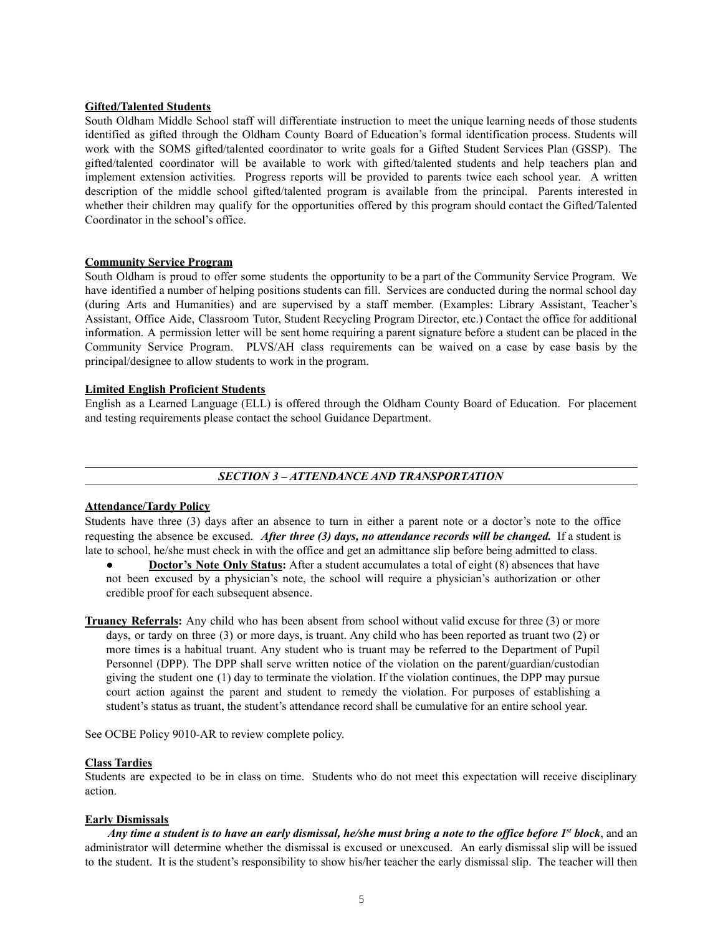# **Gifted/Talented Students**

South Oldham Middle School staff will differentiate instruction to meet the unique learning needs of those students identified as gifted through the Oldham County Board of Education's formal identification process. Students will work with the SOMS gifted/talented coordinator to write goals for a Gifted Student Services Plan (GSSP). The gifted/talented coordinator will be available to work with gifted/talented students and help teachers plan and implement extension activities. Progress reports will be provided to parents twice each school year. A written description of the middle school gifted/talented program is available from the principal. Parents interested in whether their children may qualify for the opportunities offered by this program should contact the Gifted/Talented Coordinator in the school's office.

# **Community Service Program**

South Oldham is proud to offer some students the opportunity to be a part of the Community Service Program. We have identified a number of helping positions students can fill. Services are conducted during the normal school day (during Arts and Humanities) and are supervised by a staff member. (Examples: Library Assistant, Teacher's Assistant, Office Aide, Classroom Tutor, Student Recycling Program Director, etc.) Contact the office for additional information. A permission letter will be sent home requiring a parent signature before a student can be placed in the Community Service Program. PLVS/AH class requirements can be waived on a case by case basis by the principal/designee to allow students to work in the program.

# **Limited English Proficient Students**

English as a Learned Language (ELL) is offered through the Oldham County Board of Education. For placement and testing requirements please contact the school Guidance Department.

# *SECTION 3 – ATTENDANCE AND TRANSPORTATION*

# **Attendance/Tardy Policy**

Students have three (3) days after an absence to turn in either a parent note or a doctor's note to the office requesting the absence be excused. *After three (3) days, no attendance records will be changed.* If a student is late to school, he/she must check in with the office and get an admittance slip before being admitted to class.

- **Doctor's Note Only Status:** After a student accumulates a total of eight (8) absences that have not been excused by a physician's note, the school will require a physician's authorization or other credible proof for each subsequent absence.
- **Truancy Referrals:** Any child who has been absent from school without valid excuse for three (3) or more days, or tardy on three (3) or more days, is truant. Any child who has been reported as truant two (2) or more times is a habitual truant. Any student who is truant may be referred to the Department of Pupil Personnel (DPP). The DPP shall serve written notice of the violation on the parent/guardian/custodian giving the student one (1) day to terminate the violation. If the violation continues, the DPP may pursue court action against the parent and student to remedy the violation. For purposes of establishing a student's status as truant, the student's attendance record shall be cumulative for an entire school year.

See OCBE Policy 9010-AR to review complete policy.

#### **Class Tardies**

Students are expected to be in class on time. Students who do not meet this expectation will receive disciplinary action.

#### **Early Dismissals**

Any time a student is to have an early dismissal, he/she must bring a note to the office before 1<sup>st</sup> block, and an administrator will determine whether the dismissal is excused or unexcused. An early dismissal slip will be issued to the student. It is the student's responsibility to show his/her teacher the early dismissal slip. The teacher will then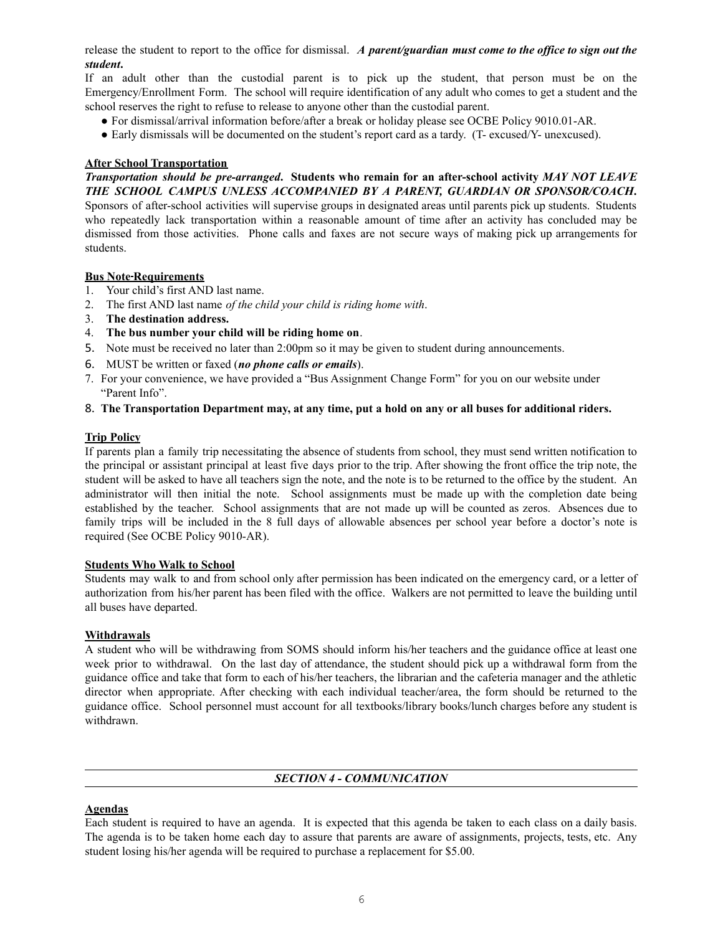release the student to report to the office for dismissal. *A parent/guardian must come to the of ice to sign out the student***.**

If an adult other than the custodial parent is to pick up the student, that person must be on the Emergency/Enrollment Form. The school will require identification of any adult who comes to get a student and the school reserves the right to refuse to release to anyone other than the custodial parent.

- For dismissal/arrival information before/after a break or holiday please see OCBE Policy 9010.01-AR.
- Early dismissals will be documented on the student's report card as a tardy. (T- excused/Y- unexcused).

# **After School Transportation**

*Transportation should be pre-arranged***. Students who remain for an after-school activity** *MAY NOT LEAVE THE SCHOOL CAMPUS UNLESS ACCOMPANIED BY A PARENT, GUARDIAN OR SPONSOR/COACH***.** Sponsors of after-school activities will supervise groups in designated areas until parents pick up students. Students who repeatedly lack transportation within a reasonable amount of time after an activity has concluded may be dismissed from those activities. Phone calls and faxes are not secure ways of making pick up arrangements for students.

# **Bus Note Requirements**

- 1. Your child's first AND last name.
- 2. The first AND last name *of the child your child is riding home with*.
- 3. **The destination address.**
- 4. **The bus number your child will be riding home on**.
- 5. Note must be received no later than 2:00pm so it may be given to student during announcements.
- 6. MUST be written or faxed (*no phone calls or emails*).
- 7. For your convenience, we have provided a "Bus Assignment Change Form" for you on our website under "Parent Info".
- 8. The Transportation Department may, at any time, put a hold on any or all buses for additional riders.

# **Trip Policy**

If parents plan a family trip necessitating the absence of students from school, they must send written notification to the principal or assistant principal at least five days prior to the trip. After showing the front office the trip note, the student will be asked to have all teachers sign the note, and the note is to be returned to the office by the student. An administrator will then initial the note. School assignments must be made up with the completion date being established by the teacher. School assignments that are not made up will be counted as zeros. Absences due to family trips will be included in the 8 full days of allowable absences per school year before a doctor's note is required (See OCBE Policy 9010-AR).

# **Students Who Walk to School**

Students may walk to and from school only after permission has been indicated on the emergency card, or a letter of authorization from his/her parent has been filed with the office. Walkers are not permitted to leave the building until all buses have departed.

# **Withdrawals**

A student who will be withdrawing from SOMS should inform his/her teachers and the guidance office at least one week prior to withdrawal. On the last day of attendance, the student should pick up a withdrawal form from the guidance office and take that form to each of his/her teachers, the librarian and the cafeteria manager and the athletic director when appropriate. After checking with each individual teacher/area, the form should be returned to the guidance office. School personnel must account for all textbooks/library books/lunch charges before any student is withdrawn.

#### *SECTION 4 - COMMUNICATION*

#### **Agendas**

Each student is required to have an agenda. It is expected that this agenda be taken to each class on a daily basis. The agenda is to be taken home each day to assure that parents are aware of assignments, projects, tests, etc. Any student losing his/her agenda will be required to purchase a replacement for \$5.00.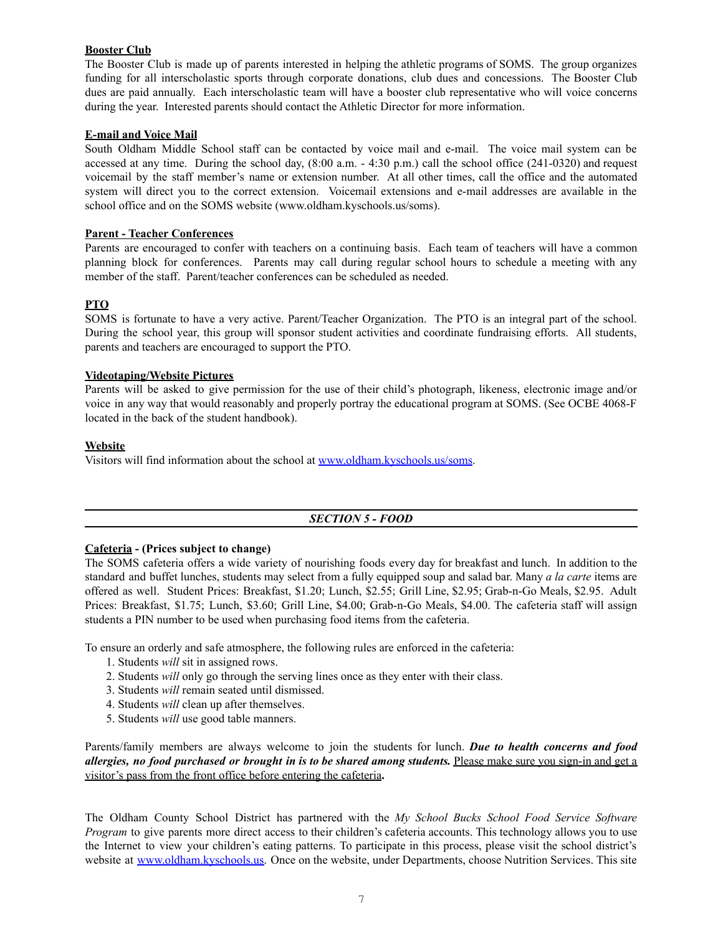# **Booster Club**

The Booster Club is made up of parents interested in helping the athletic programs of SOMS. The group organizes funding for all interscholastic sports through corporate donations, club dues and concessions. The Booster Club dues are paid annually. Each interscholastic team will have a booster club representative who will voice concerns during the year. Interested parents should contact the Athletic Director for more information.

# **E-mail and Voice Mail**

South Oldham Middle School staff can be contacted by voice mail and e-mail. The voice mail system can be accessed at any time. During the school day, (8:00 a.m. - 4:30 p.m.) call the school office (241-0320) and request voicemail by the staff member's name or extension number. At all other times, call the office and the automated system will direct you to the correct extension. Voicemail extensions and e-mail addresses are available in the school office and on the SOMS website (www.oldham.kyschools.us/soms).

# **Parent - Teacher Conferences**

Parents are encouraged to confer with teachers on a continuing basis. Each team of teachers will have a common planning block for conferences. Parents may call during regular school hours to schedule a meeting with any member of the staff. Parent/teacher conferences can be scheduled as needed.

# **PTO**

SOMS is fortunate to have a very active. Parent/Teacher Organization. The PTO is an integral part of the school. During the school year, this group will sponsor student activities and coordinate fundraising efforts. All students, parents and teachers are encouraged to support the PTO.

# **Videotaping/Website Pictures**

Parents will be asked to give permission for the use of their child's photograph, likeness, electronic image and/or voice in any way that would reasonably and properly portray the educational program at SOMS. (See OCBE 4068-F located in the back of the student handbook).

# **Website**

Visitors will find information about the school at [www.oldham.kyschools.us/soms](http://www.oldham.kyschools.us/soms).

# *SECTION 5 - FOOD*

# **Cafeteria - (Prices subject to change)**

The SOMS cafeteria offers a wide variety of nourishing foods every day for breakfast and lunch. In addition to the standard and buffet lunches, students may select from a fully equipped soup and salad bar. Many *a la carte* items are offered as well. Student Prices: Breakfast, \$1.20; Lunch, \$2.55; Grill Line, \$2.95; Grab-n-Go Meals, \$2.95. Adult Prices: Breakfast, \$1.75; Lunch, \$3.60; Grill Line, \$4.00; Grab-n-Go Meals, \$4.00. The cafeteria staff will assign students a PIN number to be used when purchasing food items from the cafeteria.

To ensure an orderly and safe atmosphere, the following rules are enforced in the cafeteria:

- 1. Students *will* sit in assigned rows.
- 2. Students *will* only go through the serving lines once as they enter with their class.
- 3. Students *will* remain seated until dismissed.
- 4. Students *will* clean up after themselves.
- 5. Students *will* use good table manners.

Parents/family members are always welcome to join the students for lunch. *Due to health concerns and food allergies, no food purchased or brought in is to be shared among students.* Please make sure you sign-in and get a visitor's pass from the front office before entering the cafeteria**.**

The Oldham County School District has partnered with the *My School Bucks School Food Service Software Program* to give parents more direct access to their children's cafeteria accounts. This technology allows you to use the Internet to view your children's eating patterns. To participate in this process, please visit the school district's website at [www.oldham.kyschools.us.](http://www.oldham.kyschools.us) Once on the website, under Departments, choose Nutrition Services. This site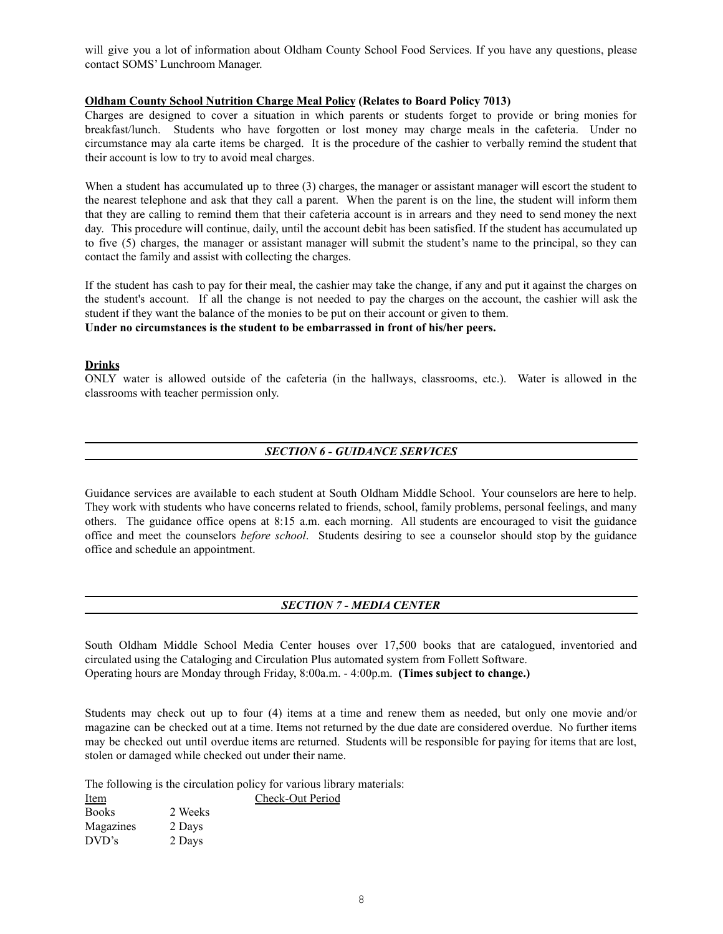will give you a lot of information about Oldham County School Food Services. If you have any questions, please contact SOMS' Lunchroom Manager.

# **Oldham County School Nutrition Charge Meal Policy (Relates to Board Policy 7013)**

Charges are designed to cover a situation in which parents or students forget to provide or bring monies for breakfast/lunch. Students who have forgotten or lost money may charge meals in the cafeteria. Under no circumstance may ala carte items be charged. It is the procedure of the cashier to verbally remind the student that their account is low to try to avoid meal charges.

When a student has accumulated up to three (3) charges, the manager or assistant manager will escort the student to the nearest telephone and ask that they call a parent. When the parent is on the line, the student will inform them that they are calling to remind them that their cafeteria account is in arrears and they need to send money the next day. This procedure will continue, daily, until the account debit has been satisfied. If the student has accumulated up to five (5) charges, the manager or assistant manager will submit the student's name to the principal, so they can contact the family and assist with collecting the charges.

If the student has cash to pay for their meal, the cashier may take the change, if any and put it against the charges on the student's account. If all the change is not needed to pay the charges on the account, the cashier will ask the student if they want the balance of the monies to be put on their account or given to them. **Under no circumstances is the student to be embarrassed in front of his/her peers.**

# **Drinks**

ONLY water is allowed outside of the cafeteria (in the hallways, classrooms, etc.). Water is allowed in the classrooms with teacher permission only.

# *SECTION 6 - GUIDANCE SERVICES*

Guidance services are available to each student at South Oldham Middle School. Your counselors are here to help. They work with students who have concerns related to friends, school, family problems, personal feelings, and many others. The guidance office opens at 8:15 a.m. each morning. All students are encouraged to visit the guidance office and meet the counselors *before school*. Students desiring to see a counselor should stop by the guidance office and schedule an appointment.

# *SECTION 7 - MEDIA CENTER*

South Oldham Middle School Media Center houses over 17,500 books that are catalogued, inventoried and circulated using the Cataloging and Circulation Plus automated system from Follett Software. Operating hours are Monday through Friday, 8:00a.m. - 4:00p.m. **(Times subject to change.)**

Students may check out up to four (4) items at a time and renew them as needed, but only one movie and/or magazine can be checked out at a time. Items not returned by the due date are considered overdue. No further items may be checked out until overdue items are returned. Students will be responsible for paying for items that are lost, stolen or damaged while checked out under their name.

The following is the circulation policy for various library materials:

| Item         |         | Check-Out Period |
|--------------|---------|------------------|
| <b>Books</b> | 2 Weeks |                  |
| Magazines    | 2 Days  |                  |
| DVD's        | 2 Days  |                  |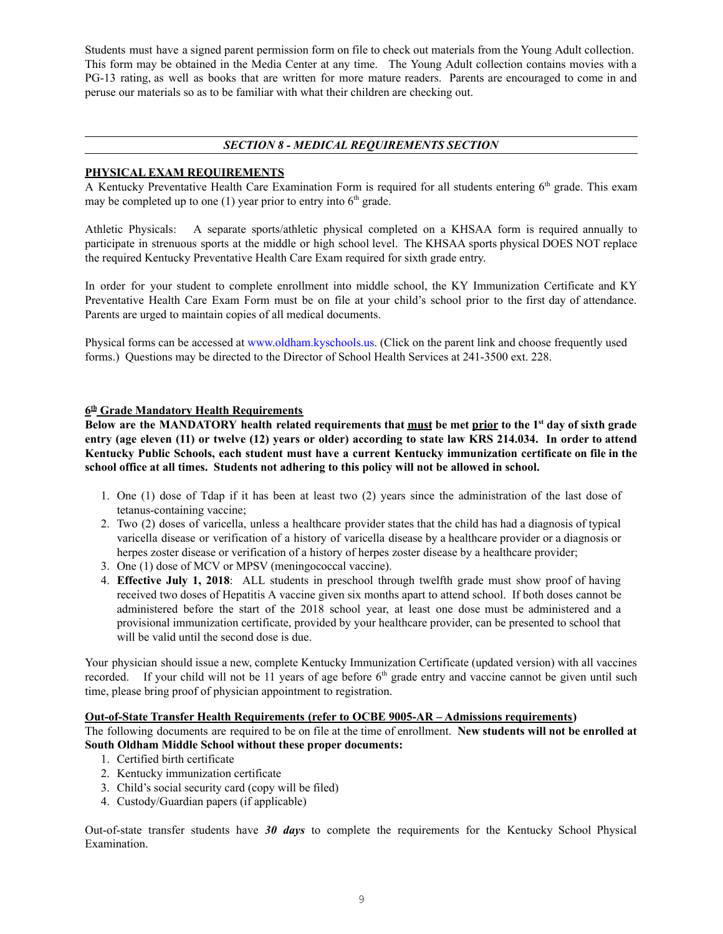Students must have a signed parent permission form on file to check out materials from the Young Adult collection. This form may be obtained in the Media Center at any time. The Young Adult collection contains movies with a PG-13 rating, as well as books that are written for more mature readers. Parents are encouraged to come in and peruse our materials so as to be familiar with what their children are checking out.

# *SECTION 8 - MEDICAL REQUIREMENTS SECTION*

# **PHYSICAL EXAM REQUIREMENTS**

A Kentucky Preventative Health Care Examination Form is required for all students entering 6<sup>th</sup> grade. This exam may be completed up to one (1) year prior to entry into  $6<sup>th</sup>$  grade.

Athletic Physicals: A separate sports/athletic physical completed on a KHSAA form is required annually to participate in strenuous sports at the middle or high school level. The KHSAA sports physical DOES NOT replace the required Kentucky Preventative Health Care Exam required for sixth grade entry.

In order for your student to complete enrollment into middle school, the KY Immunization Certificate and KY Preventative Health Care Exam Form must be on file at your child's school prior to the first day of attendance. Parents are urged to maintain copies of all medical documents.

Physical forms can be accessed at [www.oldham.kyschools.us](http://www.oldham.kyschools.us). (Click on the parent link and choose frequently used forms.) Questions may be directed to the Director of School Health Services at 241-3500 ext. 228.

# **6 th Grade Mandatory Health Requirements**

Below are the MANDATORY health related requirements that must be met prior to the 1<sup>st</sup> day of sixth grade entry (age eleven (11) or twelve (12) years or older) according to state law KRS 214.034. In order to attend **Kentucky Public Schools, each student must have a current Kentucky immunization certificate on file in the school office at all times. Students not adhering to this policy will not be allowed in school.**

- 1. One (1) dose of Tdap if it has been at least two (2) years since the administration of the last dose of tetanus-containing vaccine;
- 2. Two (2) doses of varicella, unless a healthcare provider states that the child has had a diagnosis of typical varicella disease or verification of a history of varicella disease by a healthcare provider or a diagnosis or herpes zoster disease or verification of a history of herpes zoster disease by a healthcare provider;
- 3. One (1) dose of MCV or MPSV (meningococcal vaccine).
- 4. **Effective July 1, 2018**: ALL students in preschool through twelfth grade must show proof of having received two doses of Hepatitis A vaccine given six months apart to attend school. If both doses cannot be administered before the start of the 2018 school year, at least one dose must be administered and a provisional immunization certificate, provided by your healthcare provider, can be presented to school that will be valid until the second dose is due.

Your physician should issue a new, complete Kentucky Immunization Certificate (updated version) with all vaccines recorded. If your child will not be 11 years of age before  $6<sup>th</sup>$  grade entry and vaccine cannot be given until such time, please bring proof of physician appointment to registration.

# **Out-of-State Transfer Health Requirements (refer to OCBE 9005-AR – Admissions requirements)**

The following documents are required to be on file at the time of enrollment. **New students will not be enrolled at South Oldham Middle School without these proper documents:**

- 1. Certified birth certificate
- 2. Kentucky immunization certificate
- 3. Child's social security card (copy will be filed)
- 4. Custody/Guardian papers (if applicable)

Out-of-state transfer students have *30 days* to complete the requirements for the Kentucky School Physical Examination.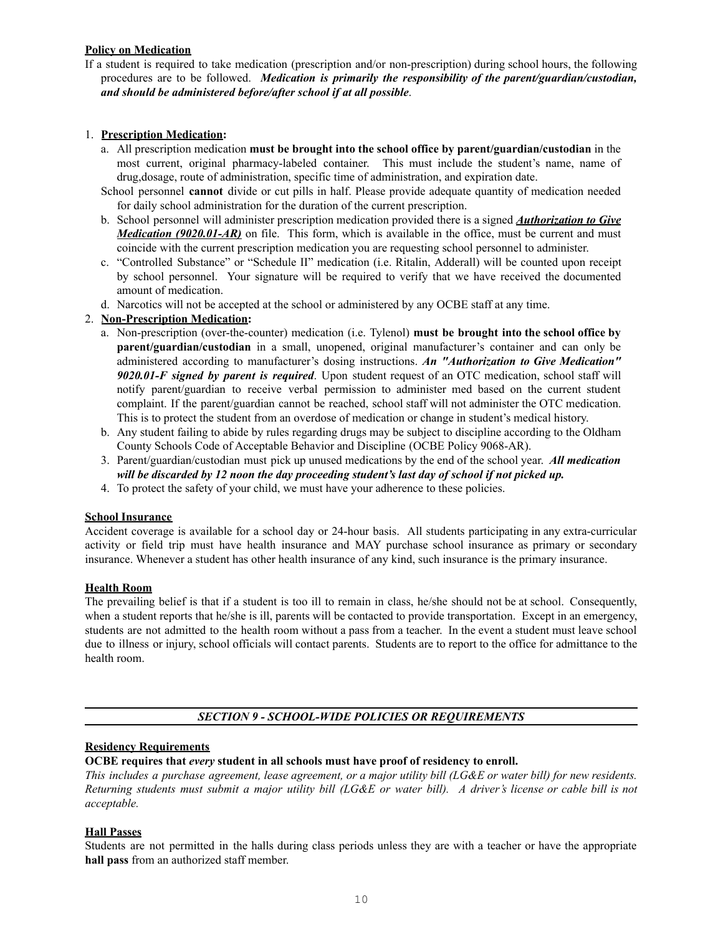# **Policy on Medication**

If a student is required to take medication (prescription and/or non-prescription) during school hours, the following procedures are to be followed. *Medication is primarily the responsibility of the parent/guardian/custodian, and should be administered before/after school if at all possible*.

# 1. **Prescription Medication:**

- a. All prescription medication **must be brought into the school office by parent/guardian/custodian** in the most current, original pharmacy-labeled container. This must include the student's name, name of drug,dosage, route of administration, specific time of administration, and expiration date.
- School personnel **cannot** divide or cut pills in half. Please provide adequate quantity of medication needed for daily school administration for the duration of the current prescription.
- b. School personnel will administer prescription medication provided there is a signed *Authorization to Give Medication* (9020.01-AR) on file. This form, which is available in the office, must be current and must coincide with the current prescription medication you are requesting school personnel to administer.
- c. "Controlled Substance" or "Schedule II" medication (i.e. Ritalin, Adderall) will be counted upon receipt by school personnel. Your signature will be required to verify that we have received the documented amount of medication.
- d. Narcotics will not be accepted at the school or administered by any OCBE staff at any time.

# 2. **Non-Prescription Medication:**

- a. Non-prescription (over-the-counter) medication (i.e. Tylenol) **must be brought into the school office by parent/guardian/custodian** in a small, unopened, original manufacturer's container and can only be administered according to manufacturer's dosing instructions. *An "Authorization to Give Medication" 9020.01-F signed by parent is required*. Upon student request of an OTC medication, school staff will notify parent/guardian to receive verbal permission to administer med based on the current student complaint. If the parent/guardian cannot be reached, school staff will not administer the OTC medication. This is to protect the student from an overdose of medication or change in student's medical history.
- b. Any student failing to abide by rules regarding drugs may be subject to discipline according to the Oldham County Schools Code of Acceptable Behavior and Discipline (OCBE Policy 9068-AR).
- 3. Parent/guardian/custodian must pick up unused medications by the end of the school year. *All medication will be discarded by 12 noon the day proceeding student's last day of school if not picked up.*
- 4. To protect the safety of your child, we must have your adherence to these policies.

# **School Insurance**

Accident coverage is available for a school day or 24-hour basis. All students participating in any extra-curricular activity or field trip must have health insurance and MAY purchase school insurance as primary or secondary insurance. Whenever a student has other health insurance of any kind, such insurance is the primary insurance.

#### **Health Room**

The prevailing belief is that if a student is too ill to remain in class, he/she should not be at school. Consequently, when a student reports that he/she is ill, parents will be contacted to provide transportation. Except in an emergency, students are not admitted to the health room without a pass from a teacher. In the event a student must leave school due to illness or injury, school officials will contact parents. Students are to report to the office for admittance to the health room.

# *SECTION 9 - SCHOOL-WIDE POLICIES OR REQUIREMENTS*

#### **Residency Requirements**

# **OCBE requires that** *every* **student in all schools must have proof of residency to enroll.**

This includes a purchase agreement, lease agreement, or a major utility bill (LG&E or water bill) for new residents. Returning students must submit a major utility bill (LG&E or water bill). A driver's license or cable bill is not *acceptable.*

### **Hall Passes**

Students are not permitted in the halls during class periods unless they are with a teacher or have the appropriate **hall pass** from an authorized staff member.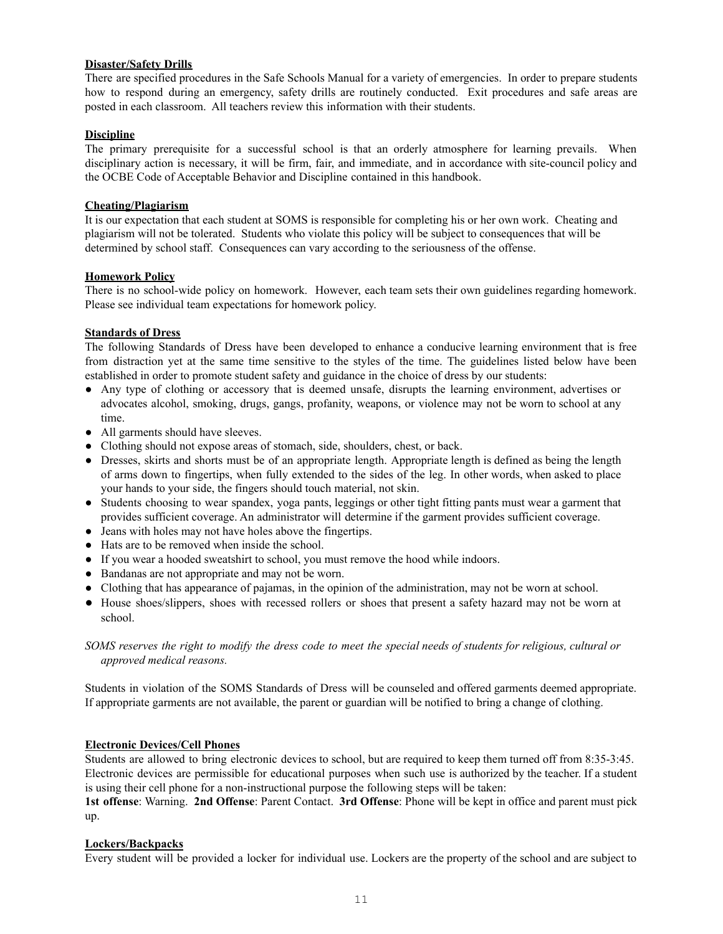# **Disaster/Safety Drills**

There are specified procedures in the Safe Schools Manual for a variety of emergencies. In order to prepare students how to respond during an emergency, safety drills are routinely conducted. Exit procedures and safe areas are posted in each classroom. All teachers review this information with their students.

# **Discipline**

The primary prerequisite for a successful school is that an orderly atmosphere for learning prevails. When disciplinary action is necessary, it will be firm, fair, and immediate, and in accordance with site-council policy and the OCBE Code of Acceptable Behavior and Discipline contained in this handbook.

### **Cheating/Plagiarism**

It is our expectation that each student at SOMS is responsible for completing his or her own work. Cheating and plagiarism will not be tolerated. Students who violate this policy will be subject to consequences that will be determined by school staff. Consequences can vary according to the seriousness of the offense.

# **Homework Policy**

There is no school-wide policy on homework. However, each team sets their own guidelines regarding homework. Please see individual team expectations for homework policy.

# **Standards of Dress**

The following Standards of Dress have been developed to enhance a conducive learning environment that is free from distraction yet at the same time sensitive to the styles of the time. The guidelines listed below have been established in order to promote student safety and guidance in the choice of dress by our students:

- Any type of clothing or accessory that is deemed unsafe, disrupts the learning environment, advertises or advocates alcohol, smoking, drugs, gangs, profanity, weapons, or violence may not be worn to school at any time.
- All garments should have sleeves.
- Clothing should not expose areas of stomach, side, shoulders, chest, or back.
- Dresses, skirts and shorts must be of an appropriate length. Appropriate length is defined as being the length of arms down to fingertips, when fully extended to the sides of the leg. In other words, when asked to place your hands to your side, the fingers should touch material, not skin.
- Students choosing to wear spandex, yoga pants, leggings or other tight fitting pants must wear a garment that provides sufficient coverage. An administrator will determine if the garment provides sufficient coverage.
- Jeans with holes may not have holes above the fingertips.
- Hats are to be removed when inside the school.
- If you wear a hooded sweatshirt to school, you must remove the hood while indoors.
- Bandanas are not appropriate and may not be worn.
- Clothing that has appearance of pajamas, in the opinion of the administration, may not be worn at school.
- House shoes/slippers, shoes with recessed rollers or shoes that present a safety hazard may not be worn at school.

# SOMS reserves the right to modify the dress code to meet the special needs of students for religious, cultural or *approved medical reasons.*

Students in violation of the SOMS Standards of Dress will be counseled and offered garments deemed appropriate. If appropriate garments are not available, the parent or guardian will be notified to bring a change of clothing.

# **Electronic Devices/Cell Phones**

Students are allowed to bring electronic devices to school, but are required to keep them turned off from 8:35-3:45. Electronic devices are permissible for educational purposes when such use is authorized by the teacher. If a student is using their cell phone for a non-instructional purpose the following steps will be taken:

**1st offense**: Warning. **2nd Offense**: Parent Contact. **3rd Offense**: Phone will be kept in office and parent must pick up.

#### **Lockers/Backpacks**

Every student will be provided a locker for individual use. Lockers are the property of the school and are subject to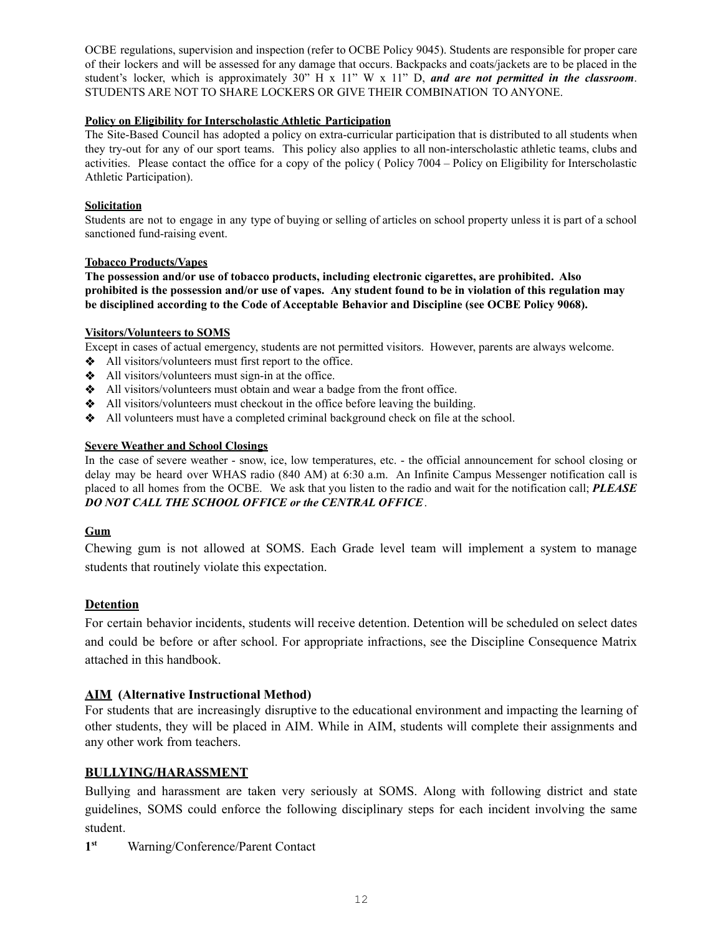OCBE regulations, supervision and inspection (refer to OCBE Policy 9045). Students are responsible for proper care of their lockers and will be assessed for any damage that occurs. Backpacks and coats/jackets are to be placed in the student's locker, which is approximately 30" H x 11" W x 11" D, *and are not permitted in the classroom*. STUDENTS ARE NOT TO SHARE LOCKERS OR GIVE THEIR COMBINATION TO ANYONE.

# **Policy on Eligibility for Interscholastic Athletic Participation**

The Site-Based Council has adopted a policy on extra-curricular participation that is distributed to all students when they try-out for any of our sport teams. This policy also applies to all non-interscholastic athletic teams, clubs and activities. Please contact the office for a copy of the policy ( Policy 7004 – Policy on Eligibility for Interscholastic Athletic Participation).

# **Solicitation**

Students are not to engage in any type of buying or selling of articles on school property unless it is part of a school sanctioned fund-raising event.

# **Tobacco Products/Vapes**

**The possession and/or use of tobacco products, including electronic cigarettes, are prohibited. Also** prohibited is the possession and/or use of vapes. Any student found to be in violation of this regulation may **be disciplined according to the Code of Acceptable Behavior and Discipline (see OCBE Policy 9068).**

# **Visitors/Volunteers to SOMS**

Except in cases of actual emergency, students are not permitted visitors. However, parents are always welcome.

- ❖ All visitors/volunteers must first report to the office.
- ❖ All visitors/volunteers must sign-in at the office.
- ❖ All visitors/volunteers must obtain and wear a badge from the front office.
- ❖ All visitors/volunteers must checkout in the office before leaving the building.
- ❖ All volunteers must have a completed criminal background check on file at the school.

# **Severe Weather and School Closings**

In the case of severe weather - snow, ice, low temperatures, etc. - the official announcement for school closing or delay may be heard over WHAS radio (840 AM) at 6:30 a.m. An Infinite Campus Messenger notification call is placed to all homes from the OCBE. We ask that you listen to the radio and wait for the notification call; *PLEASE DO NOT CALL THE SCHOOL OFFICE or the CENTRAL OFFICE*.

# **Gum**

Chewing gum is not allowed at SOMS. Each Grade level team will implement a system to manage students that routinely violate this expectation.

# **Detention**

For certain behavior incidents, students will receive detention. Detention will be scheduled on select dates and could be before or after school. For appropriate infractions, see the Discipline Consequence Matrix attached in this handbook.

# **AIM (Alternative Instructional Method)**

For students that are increasingly disruptive to the educational environment and impacting the learning of other students, they will be placed in AIM. While in AIM, students will complete their assignments and any other work from teachers.

# **BULLYING/HARASSMENT**

Bullying and harassment are taken very seriously at SOMS. Along with following district and state guidelines, SOMS could enforce the following disciplinary steps for each incident involving the same student.

**1 st** Warning/Conference/Parent Contact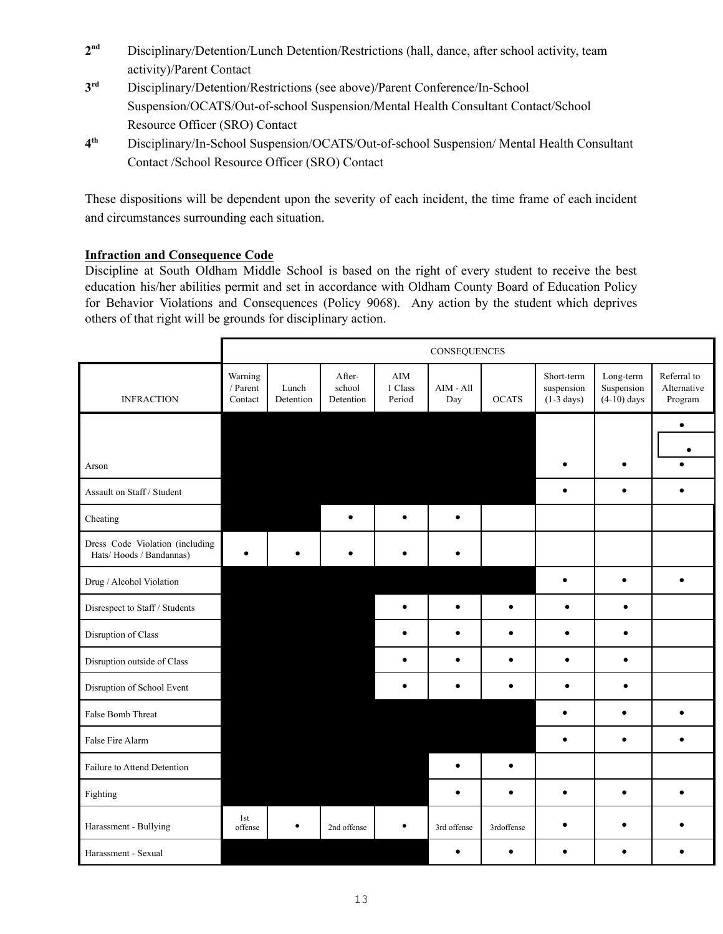- **2** Disciplinary/Detention/Lunch Detention/Restrictions (hall, dance, after school activity, team activity)/Parent Contact
- **3** Disciplinary/Detention/Restrictions (see above)/Parent Conference/In-School Suspension/OCATS/Out-of-school Suspension/Mental Health Consultant Contact/School Resource Officer (SRO) Contact
- **4 th** Disciplinary/In-School Suspension/OCATS/Out-of-school Suspension/ Mental Health Consultant Contact /School Resource Officer (SRO) Contact

These dispositions will be dependent upon the severity of each incident, the time frame of each incident and circumstances surrounding each situation.

# **Infraction and Consequence Code**

Discipline at South Oldham Middle School is based on the right of every student to receive the best education his/her abilities permit and set in accordance with Oldham County Board of Education Policy for Behavior Violations and Consequences (Policy 9068). Any action by the student which deprives others of that right will be grounds for disciplinary action.

|                                                            | CONSEQUENCES                   |                    |                               |                          |                                    |              |                                                  |                                          |                                       |
|------------------------------------------------------------|--------------------------------|--------------------|-------------------------------|--------------------------|------------------------------------|--------------|--------------------------------------------------|------------------------------------------|---------------------------------------|
| <b>INFRACTION</b>                                          | Warning<br>/ Parent<br>Contact | Lunch<br>Detention | After-<br>school<br>Detention | AIM<br>1 Class<br>Period | $\text{AIM}$ - $\text{All}$<br>Day | <b>OCATS</b> | Short-term<br>suspension<br>$(1-3 \text{ days})$ | Long-term<br>Suspension<br>$(4-10)$ days | Referral to<br>Alternative<br>Program |
|                                                            |                                |                    |                               |                          |                                    |              |                                                  |                                          | ٠                                     |
|                                                            |                                |                    |                               |                          |                                    |              |                                                  |                                          | $\bullet$                             |
| Arson                                                      |                                |                    |                               |                          |                                    |              | $\bullet$                                        | $\bullet$                                |                                       |
| Assault on Staff / Student                                 |                                |                    |                               |                          |                                    |              | $\bullet$                                        | $\bullet$                                | $\bullet$                             |
| Cheating                                                   |                                |                    | $\bullet$                     | $\bullet$                | $\bullet$                          |              |                                                  |                                          |                                       |
| Dress Code Violation (including<br>Hats/Hoods / Bandannas) | $\bullet$                      |                    |                               |                          | ٠                                  |              |                                                  |                                          |                                       |
| Drug / Alcohol Violation                                   |                                |                    |                               |                          |                                    |              | $\bullet$                                        | $\bullet$                                |                                       |
| Disrespect to Staff / Students                             |                                |                    |                               | $\bullet$                | $\bullet$                          | $\bullet$    | $\bullet$                                        | $\bullet$                                |                                       |
| Disruption of Class                                        |                                |                    |                               | $\bullet$                | $\bullet$                          | $\bullet$    | $\bullet$                                        | $\bullet$                                |                                       |
| Disruption outside of Class                                |                                |                    |                               | $\bullet$                | $\bullet$                          | $\bullet$    | $\bullet$                                        | $\bullet$                                |                                       |
| Disruption of School Event                                 |                                |                    |                               | $\bullet$                | $\bullet$                          | $\bullet$    | $\bullet$                                        | $\bullet$                                |                                       |
| False Bomb Threat                                          |                                |                    |                               |                          |                                    |              | $\bullet$                                        | $\bullet$                                | $\bullet$                             |
| False Fire Alarm                                           |                                |                    |                               |                          |                                    |              | $\bullet$                                        | $\bullet$                                | $\bullet$                             |
| Failure to Attend Detention                                |                                |                    |                               |                          | $\bullet$                          | $\bullet$    |                                                  |                                          |                                       |
| Fighting                                                   |                                |                    |                               |                          | $\bullet$                          | $\bullet$    | $\bullet$                                        | $\bullet$                                | $\bullet$                             |
| Harassment - Bullying                                      | 1st<br>offense                 | $\bullet$          | 2nd offense                   | ٠                        | 3rd offense                        | 3rdoffense   | $\bullet$                                        |                                          |                                       |
| Harassment - Sexual                                        |                                |                    |                               |                          | $\bullet$                          | $\bullet$    | $\bullet$                                        | ٠                                        |                                       |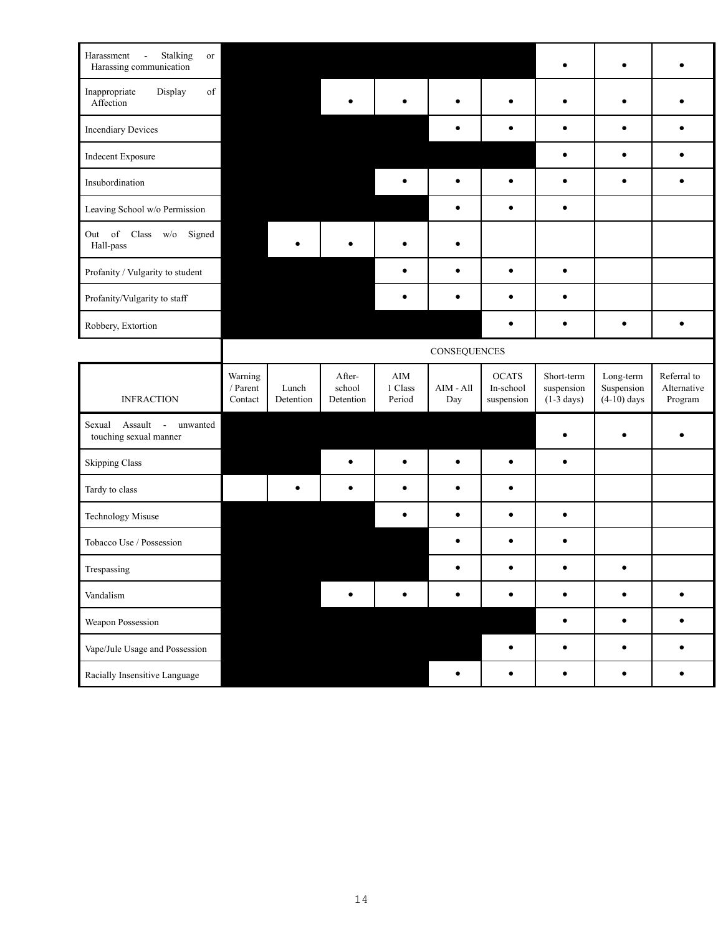| Stalking<br>Harassment<br>$\blacksquare$<br>or<br>Harassing communication |                                |                    |                               |                                 |                    |                                         |                                                  |                                          |                                       |
|---------------------------------------------------------------------------|--------------------------------|--------------------|-------------------------------|---------------------------------|--------------------|-----------------------------------------|--------------------------------------------------|------------------------------------------|---------------------------------------|
| Inappropriate<br>of<br>Display<br>Affection                               |                                |                    |                               |                                 | $\bullet$          | $\bullet$                               | ٠                                                | $\bullet$                                |                                       |
| <b>Incendiary Devices</b>                                                 |                                |                    |                               |                                 | $\bullet$          | $\bullet$                               | $\bullet$                                        | $\bullet$                                | $\bullet$                             |
| Indecent Exposure                                                         |                                |                    |                               |                                 |                    |                                         | $\bullet$                                        | $\bullet$                                | $\bullet$                             |
| Insubordination                                                           |                                |                    |                               | $\bullet$                       | $\bullet$          | $\bullet$                               | $\bullet$                                        | $\bullet$                                | $\bullet$                             |
| Leaving School w/o Permission                                             |                                |                    |                               |                                 | $\bullet$          | $\bullet$                               | $\bullet$                                        |                                          |                                       |
| Out of<br>$Class$ $w/o$<br>Signed<br>Hall-pass                            |                                |                    |                               | $\bullet$                       | $\bullet$          |                                         |                                                  |                                          |                                       |
| Profanity / Vulgarity to student                                          |                                |                    |                               | $\bullet$                       | $\bullet$          | $\bullet$                               | $\bullet$                                        |                                          |                                       |
| Profanity/Vulgarity to staff                                              |                                |                    |                               | ٠                               | $\bullet$          | $\bullet$                               | $\bullet$                                        |                                          |                                       |
| Robbery, Extortion                                                        |                                |                    |                               |                                 |                    | $\bullet$                               | ٠                                                | $\bullet$                                | $\bullet$                             |
|                                                                           | CONSEQUENCES                   |                    |                               |                                 |                    |                                         |                                                  |                                          |                                       |
|                                                                           |                                |                    |                               |                                 |                    |                                         |                                                  |                                          |                                       |
| <b>INFRACTION</b>                                                         | Warning<br>/ Parent<br>Contact | Lunch<br>Detention | After-<br>school<br>Detention | $\rm{AIM}$<br>1 Class<br>Period | $AIM - All$<br>Day | <b>OCATS</b><br>In-school<br>suspension | Short-term<br>suspension<br>$(1-3 \text{ days})$ | Long-term<br>Suspension<br>$(4-10)$ days | Referral to<br>Alternative<br>Program |
| Assault<br>Sexual<br>unwanted<br>$\sim$<br>touching sexual manner         |                                |                    |                               |                                 |                    |                                         | $\bullet$                                        | ٠                                        | ٠                                     |
| <b>Skipping Class</b>                                                     |                                |                    |                               | $\bullet$                       | $\bullet$          | $\bullet$                               | $\bullet$                                        |                                          |                                       |
| Tardy to class                                                            |                                | ٠                  | $\bullet$                     | $\bullet$                       | $\bullet$          | $\bullet$                               |                                                  |                                          |                                       |
| Technology Misuse                                                         |                                |                    |                               | $\bullet$                       | $\bullet$          | $\bullet$                               | $\bullet$                                        |                                          |                                       |
| Tobacco Use / Possession                                                  |                                |                    |                               |                                 | $\bullet$          | $\bullet$                               | $\bullet$                                        |                                          |                                       |
| Trespassing                                                               |                                |                    |                               |                                 |                    | ٠                                       |                                                  |                                          |                                       |
| Vandalism                                                                 |                                |                    | ٠                             | $\bullet$                       | $\bullet$          | $\bullet$                               | $\bullet$                                        | $\bullet$                                | $\bullet$                             |
| Weapon Possession                                                         |                                |                    |                               |                                 |                    |                                         | $\bullet$                                        | $\bullet$                                | $\bullet$                             |
| Vape/Jule Usage and Possession                                            |                                |                    |                               |                                 |                    | $\bullet$                               | $\bullet$                                        | $\bullet$                                | $\bullet$                             |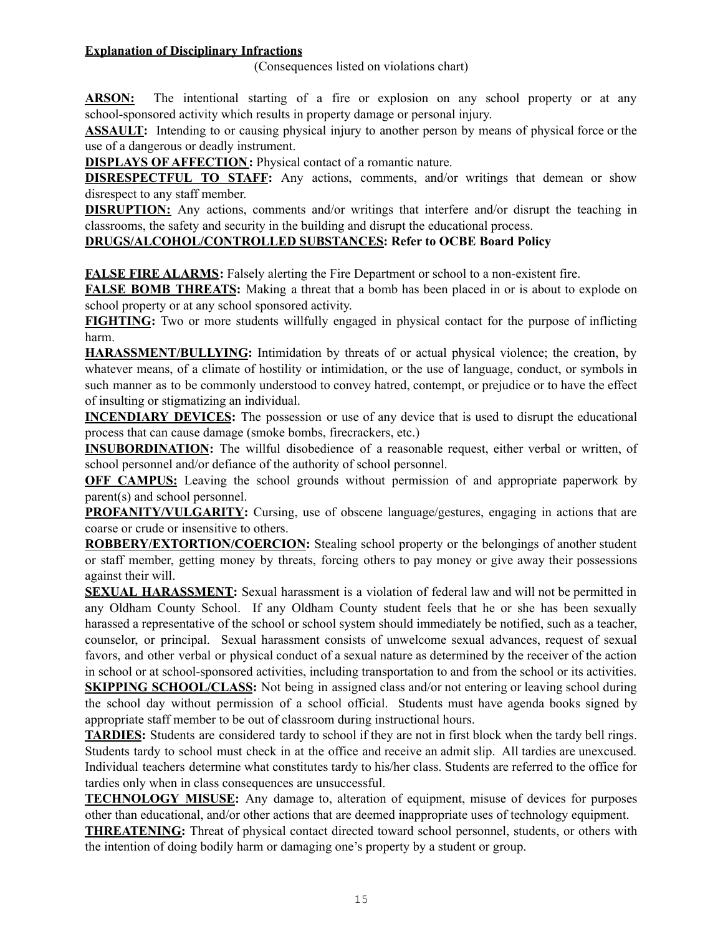# **Explanation of Disciplinary Infractions**

(Consequences listed on violations chart)

**ARSON:** The intentional starting of a fire or explosion on any school property or at any school-sponsored activity which results in property damage or personal injury.

**ASSAULT:** Intending to or causing physical injury to another person by means of physical force or the use of a dangerous or deadly instrument.

**DISPLAYS OF AFFECTION:** Physical contact of a romantic nature.

**DISRESPECTFUL TO STAFF:** Any actions, comments, and/or writings that demean or show disrespect to any staff member.

**DISRUPTION:** Any actions, comments and/or writings that interfere and/or disrupt the teaching in classrooms, the safety and security in the building and disrupt the educational process.

# **DRUGS/ALCOHOL/CONTROLLED SUBSTANCES: Refer to OCBE Board Policy**

**FALSE FIRE ALARMS:** Falsely alerting the Fire Department or school to a non-existent fire.

**FALSE BOMB THREATS:** Making a threat that a bomb has been placed in or is about to explode on school property or at any school sponsored activity.

**FIGHTING:** Two or more students willfully engaged in physical contact for the purpose of inflicting harm.

**HARASSMENT/BULLYING:** Intimidation by threats of or actual physical violence; the creation, by whatever means, of a climate of hostility or intimidation, or the use of language, conduct, or symbols in such manner as to be commonly understood to convey hatred, contempt, or prejudice or to have the effect of insulting or stigmatizing an individual.

**INCENDIARY DEVICES:** The possession or use of any device that is used to disrupt the educational process that can cause damage (smoke bombs, firecrackers, etc.)

**INSUBORDINATION:** The willful disobedience of a reasonable request, either verbal or written, of school personnel and/or defiance of the authority of school personnel.

**OFF CAMPUS:** Leaving the school grounds without permission of and appropriate paperwork by parent(s) and school personnel.

**PROFANITY/VULGARITY:** Cursing, use of obscene language/gestures, engaging in actions that are coarse or crude or insensitive to others.

**ROBBERY/EXTORTION/COERCION:** Stealing school property or the belongings of another student or staff member, getting money by threats, forcing others to pay money or give away their possessions against their will.

**SEXUAL HARASSMENT:** Sexual harassment is a violation of federal law and will not be permitted in any Oldham County School. If any Oldham County student feels that he or she has been sexually harassed a representative of the school or school system should immediately be notified, such as a teacher, counselor, or principal. Sexual harassment consists of unwelcome sexual advances, request of sexual favors, and other verbal or physical conduct of a sexual nature as determined by the receiver of the action in school or at school-sponsored activities, including transportation to and from the school or its activities.

**SKIPPING** SCHOOL/CLASS: Not being in assigned class and/or not entering or leaving school during the school day without permission of a school official. Students must have agenda books signed by appropriate staff member to be out of classroom during instructional hours.

**TARDIES:** Students are considered tardy to school if they are not in first block when the tardy bell rings. Students tardy to school must check in at the office and receive an admit slip. All tardies are unexcused. Individual teachers determine what constitutes tardy to his/her class. Students are referred to the office for tardies only when in class consequences are unsuccessful.

**TECHNOLOGY MISUSE:** Any damage to, alteration of equipment, misuse of devices for purposes other than educational, and/or other actions that are deemed inappropriate uses of technology equipment.

**THREATENING:** Threat of physical contact directed toward school personnel, students, or others with the intention of doing bodily harm or damaging one's property by a student or group.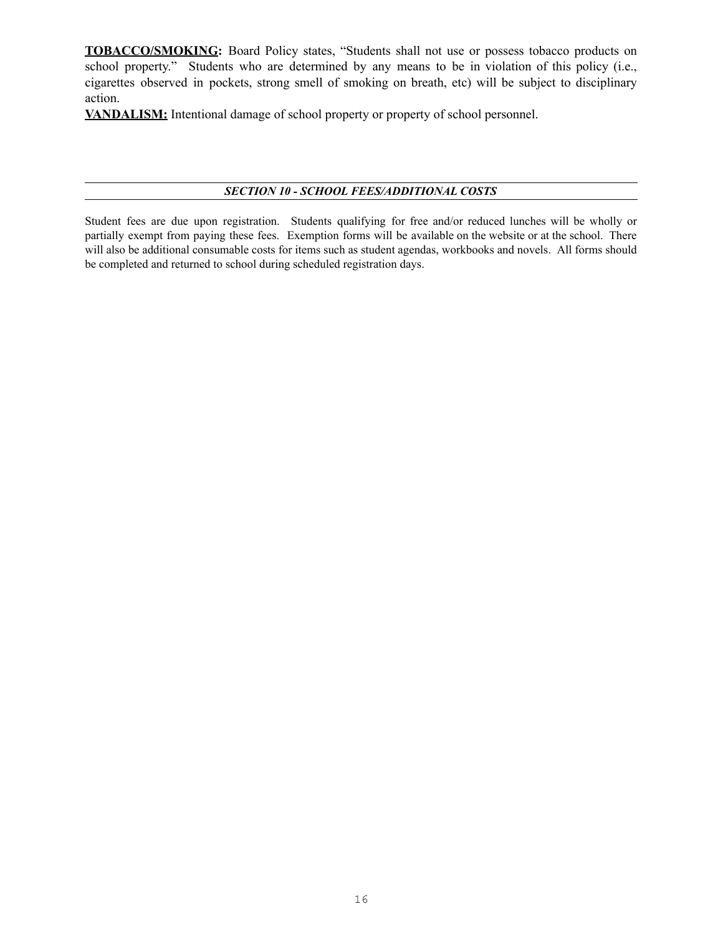**TOBACCO/SMOKING:** Board Policy states, "Students shall not use or possess tobacco products on school property." Students who are determined by any means to be in violation of this policy (i.e., cigarettes observed in pockets, strong smell of smoking on breath, etc) will be subject to disciplinary action.

**VANDALISM:** Intentional damage of school property or property of school personnel.

# *SECTION 10 - SCHOOL FEES/ADDITIONAL COSTS*

Student fees are due upon registration. Students qualifying for free and/or reduced lunches will be wholly or partially exempt from paying these fees. Exemption forms will be available on the website or at the school. There will also be additional consumable costs for items such as student agendas, workbooks and novels. All forms should be completed and returned to school during scheduled registration days.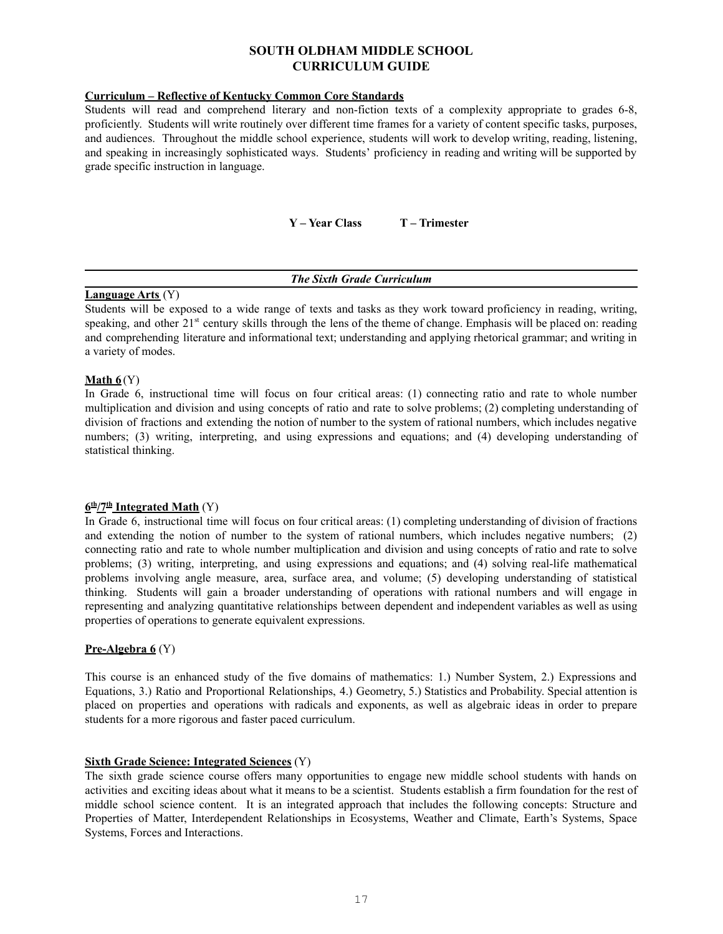# **SOUTH OLDHAM MIDDLE SCHOOL CURRICULUM GUIDE**

# **Curriculum – Reflective of Kentucky Common Core Standards**

Students will read and comprehend literary and non-fiction texts of a complexity appropriate to grades 6-8, proficiently. Students will write routinely over different time frames for a variety of content specific tasks, purposes, and audiences. Throughout the middle school experience, students will work to develop writing, reading, listening, and speaking in increasingly sophisticated ways. Students' proficiency in reading and writing will be supported by grade specific instruction in language.

**Y – Year Class T – Trimester**

# *The Sixth Grade Curriculum*

#### **Language Arts** (Y)

Students will be exposed to a wide range of texts and tasks as they work toward proficiency in reading, writing, speaking, and other  $21^{st}$  century skills through the lens of the theme of change. Emphasis will be placed on: reading and comprehending literature and informational text; understanding and applying rhetorical grammar; and writing in a variety of modes.

# **Math 6** (Y)

In Grade 6, instructional time will focus on four critical areas: (1) connecting ratio and rate to whole number multiplication and division and using concepts of ratio and rate to solve problems; (2) completing understanding of division of fractions and extending the notion of number to the system of rational numbers, which includes negative numbers; (3) writing, interpreting, and using expressions and equations; and (4) developing understanding of statistical thinking.

#### **6 th/7 th Integrated Math** (Y)

In Grade 6, instructional time will focus on four critical areas: (1) completing understanding of division of fractions and extending the notion of number to the system of rational numbers, which includes negative numbers; (2) connecting ratio and rate to whole number multiplication and division and using concepts of ratio and rate to solve problems; (3) writing, interpreting, and using expressions and equations; and (4) solving real-life mathematical problems involving angle measure, area, surface area, and volume; (5) developing understanding of statistical thinking. Students will gain a broader understanding of operations with rational numbers and will engage in representing and analyzing quantitative relationships between dependent and independent variables as well as using properties of operations to generate equivalent expressions.

# **Pre-Algebra 6** (Y)

This course is an enhanced study of the five domains of mathematics: 1.) Number System, 2.) Expressions and Equations, 3.) Ratio and Proportional Relationships, 4.) Geometry, 5.) Statistics and Probability. Special attention is placed on properties and operations with radicals and exponents, as well as algebraic ideas in order to prepare students for a more rigorous and faster paced curriculum.

# **Sixth Grade Science: Integrated Sciences** (Y)

The sixth grade science course offers many opportunities to engage new middle school students with hands on activities and exciting ideas about what it means to be a scientist. Students establish a firm foundation for the rest of middle school science content. It is an integrated approach that includes the following concepts: Structure and Properties of Matter, Interdependent Relationships in Ecosystems, Weather and Climate, Earth's Systems, Space Systems, Forces and Interactions.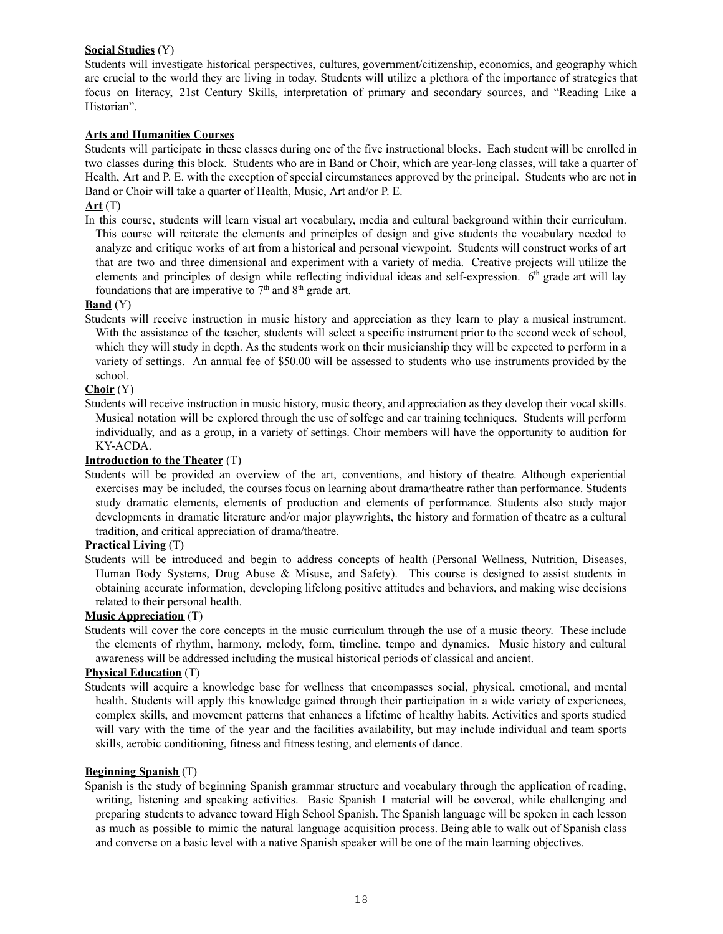# **Social Studies** (Y)

Students will investigate historical perspectives, cultures, government/citizenship, economics, and geography which are crucial to the world they are living in today. Students will utilize a plethora of the importance of strategies that focus on literacy, 21st Century Skills, interpretation of primary and secondary sources, and "Reading Like a Historian".

# **Arts and Humanities Courses**

Students will participate in these classes during one of the five instructional blocks. Each student will be enrolled in two classes during this block. Students who are in Band or Choir, which are year-long classes, will take a quarter of Health, Art and P. E. with the exception of special circumstances approved by the principal. Students who are not in Band or Choir will take a quarter of Health, Music, Art and/or P. E.

# **Art** (T)

In this course, students will learn visual art vocabulary, media and cultural background within their curriculum. This course will reiterate the elements and principles of design and give students the vocabulary needed to analyze and critique works of art from a historical and personal viewpoint. Students will construct works of art that are two and three dimensional and experiment with a variety of media. Creative projects will utilize the elements and principles of design while reflecting individual ideas and self-expression. 6<sup>th</sup> grade art will lay foundations that are imperative to  $7<sup>th</sup>$  and  $8<sup>th</sup>$  grade art.

# **Band** (Y)

Students will receive instruction in music history and appreciation as they learn to play a musical instrument. With the assistance of the teacher, students will select a specific instrument prior to the second week of school, which they will study in depth. As the students work on their musicianship they will be expected to perform in a variety of settings. An annual fee of \$50.00 will be assessed to students who use instruments provided by the school.

# **Choir** (Y)

Students will receive instruction in music history, music theory, and appreciation as they develop their vocal skills. Musical notation will be explored through the use of solfege and ear training techniques. Students will perform individually, and as a group, in a variety of settings. Choir members will have the opportunity to audition for KY-ACDA.

# **Introduction to the Theater** (T)

Students will be provided an overview of the art, conventions, and history of theatre. Although experiential exercises may be included, the courses focus on learning about drama/theatre rather than performance. Students study dramatic elements, elements of production and elements of performance. Students also study major developments in dramatic literature and/or major playwrights, the history and formation of theatre as a cultural tradition, and critical appreciation of drama/theatre.

# **Practical Living** (T)

Students will be introduced and begin to address concepts of health (Personal Wellness, Nutrition, Diseases, Human Body Systems, Drug Abuse & Misuse, and Safety). This course is designed to assist students in obtaining accurate information, developing lifelong positive attitudes and behaviors, and making wise decisions related to their personal health.

# **Music Appreciation** (T)

Students will cover the core concepts in the music curriculum through the use of a music theory. These include the elements of rhythm, harmony, melody, form, timeline, tempo and dynamics. Music history and cultural awareness will be addressed including the musical historical periods of classical and ancient.

# **Physical Education** (T)

Students will acquire a knowledge base for wellness that encompasses social, physical, emotional, and mental health. Students will apply this knowledge gained through their participation in a wide variety of experiences, complex skills, and movement patterns that enhances a lifetime of healthy habits. Activities and sports studied will vary with the time of the year and the facilities availability, but may include individual and team sports skills, aerobic conditioning, fitness and fitness testing, and elements of dance.

# **Beginning Spanish** (T)

Spanish is the study of beginning Spanish grammar structure and vocabulary through the application of reading, writing, listening and speaking activities. Basic Spanish 1 material will be covered, while challenging and preparing students to advance toward High School Spanish. The Spanish language will be spoken in each lesson as much as possible to mimic the natural language acquisition process. Being able to walk out of Spanish class and converse on a basic level with a native Spanish speaker will be one of the main learning objectives.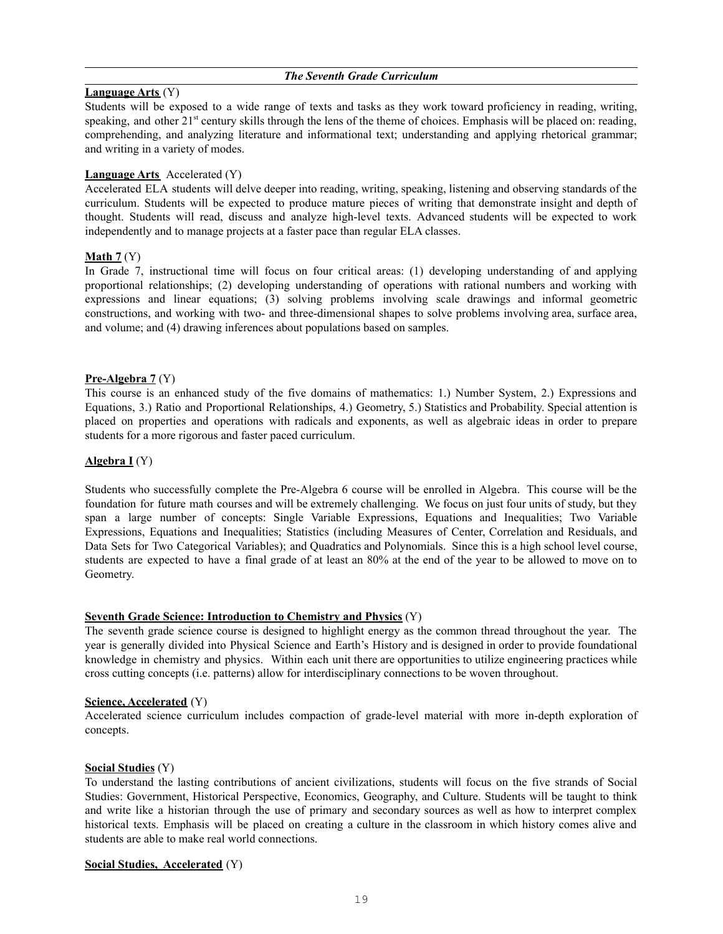# *The Seventh Grade Curriculum*

# **Language Arts** (Y)

Students will be exposed to a wide range of texts and tasks as they work toward proficiency in reading, writing, speaking, and other  $21^{st}$  century skills through the lens of the theme of choices. Emphasis will be placed on: reading, comprehending, and analyzing literature and informational text; understanding and applying rhetorical grammar; and writing in a variety of modes.

# **Language Arts** Accelerated (Y)

Accelerated ELA students will delve deeper into reading, writing, speaking, listening and observing standards of the curriculum. Students will be expected to produce mature pieces of writing that demonstrate insight and depth of thought. Students will read, discuss and analyze high-level texts. Advanced students will be expected to work independently and to manage projects at a faster pace than regular ELA classes.

# **Math 7** (Y)

In Grade 7, instructional time will focus on four critical areas: (1) developing understanding of and applying proportional relationships; (2) developing understanding of operations with rational numbers and working with expressions and linear equations; (3) solving problems involving scale drawings and informal geometric constructions, and working with two- and three-dimensional shapes to solve problems involving area, surface area, and volume; and (4) drawing inferences about populations based on samples.

# **Pre-Algebra 7** (Y)

This course is an enhanced study of the five domains of mathematics: 1.) Number System, 2.) Expressions and Equations, 3.) Ratio and Proportional Relationships, 4.) Geometry, 5.) Statistics and Probability. Special attention is placed on properties and operations with radicals and exponents, as well as algebraic ideas in order to prepare students for a more rigorous and faster paced curriculum.

# **Algebra I** (Y)

Students who successfully complete the Pre-Algebra 6 course will be enrolled in Algebra. This course will be the foundation for future math courses and will be extremely challenging. We focus on just four units of study, but they span a large number of concepts: Single Variable Expressions, Equations and Inequalities; Two Variable Expressions, Equations and Inequalities; Statistics (including Measures of Center, Correlation and Residuals, and Data Sets for Two Categorical Variables); and Quadratics and Polynomials. Since this is a high school level course, students are expected to have a final grade of at least an 80% at the end of the year to be allowed to move on to Geometry.

# **Seventh Grade Science: Introduction to Chemistry and Physics** (Y)

The seventh grade science course is designed to highlight energy as the common thread throughout the year. The year is generally divided into Physical Science and Earth's History and is designed in order to provide foundational knowledge in chemistry and physics. Within each unit there are opportunities to utilize engineering practices while cross cutting concepts (i.e. patterns) allow for interdisciplinary connections to be woven throughout.

#### **Science, Accelerated** (Y)

Accelerated science curriculum includes compaction of grade-level material with more in-depth exploration of concepts.

#### **Social Studies** (Y)

To understand the lasting contributions of ancient civilizations, students will focus on the five strands of Social Studies: Government, Historical Perspective, Economics, Geography, and Culture. Students will be taught to think and write like a historian through the use of primary and secondary sources as well as how to interpret complex historical texts. Emphasis will be placed on creating a culture in the classroom in which history comes alive and students are able to make real world connections.

# **Social Studies, Accelerated** (Y)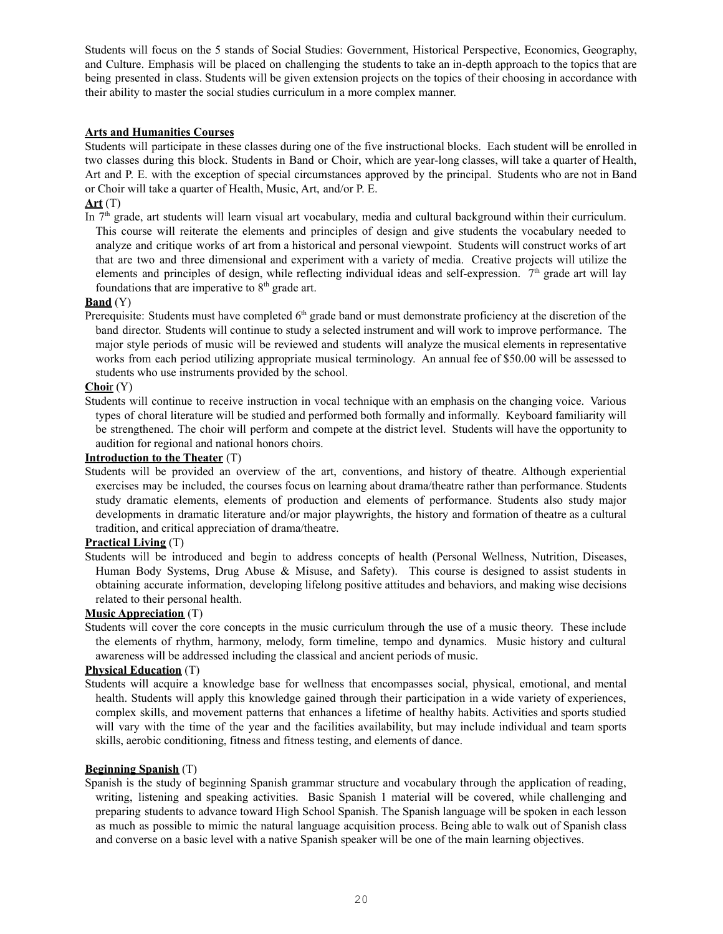Students will focus on the 5 stands of Social Studies: Government, Historical Perspective, Economics, Geography, and Culture. Emphasis will be placed on challenging the students to take an in-depth approach to the topics that are being presented in class. Students will be given extension projects on the topics of their choosing in accordance with their ability to master the social studies curriculum in a more complex manner.

# **Arts and Humanities Courses**

Students will participate in these classes during one of the five instructional blocks. Each student will be enrolled in two classes during this block. Students in Band or Choir, which are year-long classes, will take a quarter of Health, Art and P. E. with the exception of special circumstances approved by the principal. Students who are not in Band or Choir will take a quarter of Health, Music, Art, and/or P. E.

# **Art** (T)

In  $7<sup>th</sup>$  grade, art students will learn visual art vocabulary, media and cultural background within their curriculum. This course will reiterate the elements and principles of design and give students the vocabulary needed to analyze and critique works of art from a historical and personal viewpoint. Students will construct works of art that are two and three dimensional and experiment with a variety of media. Creative projects will utilize the elements and principles of design, while reflecting individual ideas and self-expression.  $7<sup>th</sup>$  grade art will lay foundations that are imperative to  $8<sup>th</sup>$  grade art.

# **Band** (Y)

Prerequisite: Students must have completed  $6<sup>th</sup>$  grade band or must demonstrate proficiency at the discretion of the band director. Students will continue to study a selected instrument and will work to improve performance. The major style periods of music will be reviewed and students will analyze the musical elements in representative works from each period utilizing appropriate musical terminology. An annual fee of \$50.00 will be assessed to students who use instruments provided by the school.

# **Choi**r (Y)

Students will continue to receive instruction in vocal technique with an emphasis on the changing voice. Various types of choral literature will be studied and performed both formally and informally. Keyboard familiarity will be strengthened. The choir will perform and compete at the district level. Students will have the opportunity to audition for regional and national honors choirs.

# **Introduction to the Theater** (T)

Students will be provided an overview of the art, conventions, and history of theatre. Although experiential exercises may be included, the courses focus on learning about drama/theatre rather than performance. Students study dramatic elements, elements of production and elements of performance. Students also study major developments in dramatic literature and/or major playwrights, the history and formation of theatre as a cultural tradition, and critical appreciation of drama/theatre.

# **Practical Living** (T)

Students will be introduced and begin to address concepts of health (Personal Wellness, Nutrition, Diseases, Human Body Systems, Drug Abuse & Misuse, and Safety). This course is designed to assist students in obtaining accurate information, developing lifelong positive attitudes and behaviors, and making wise decisions related to their personal health.

# **Music Appreciation** (T)

Students will cover the core concepts in the music curriculum through the use of a music theory. These include the elements of rhythm, harmony, melody, form timeline, tempo and dynamics. Music history and cultural awareness will be addressed including the classical and ancient periods of music.

### **Physical Education** (T)

Students will acquire a knowledge base for wellness that encompasses social, physical, emotional, and mental health. Students will apply this knowledge gained through their participation in a wide variety of experiences, complex skills, and movement patterns that enhances a lifetime of healthy habits. Activities and sports studied will vary with the time of the year and the facilities availability, but may include individual and team sports skills, aerobic conditioning, fitness and fitness testing, and elements of dance.

#### **Beginning Spanish** (T)

Spanish is the study of beginning Spanish grammar structure and vocabulary through the application of reading, writing, listening and speaking activities. Basic Spanish 1 material will be covered, while challenging and preparing students to advance toward High School Spanish. The Spanish language will be spoken in each lesson as much as possible to mimic the natural language acquisition process. Being able to walk out of Spanish class and converse on a basic level with a native Spanish speaker will be one of the main learning objectives.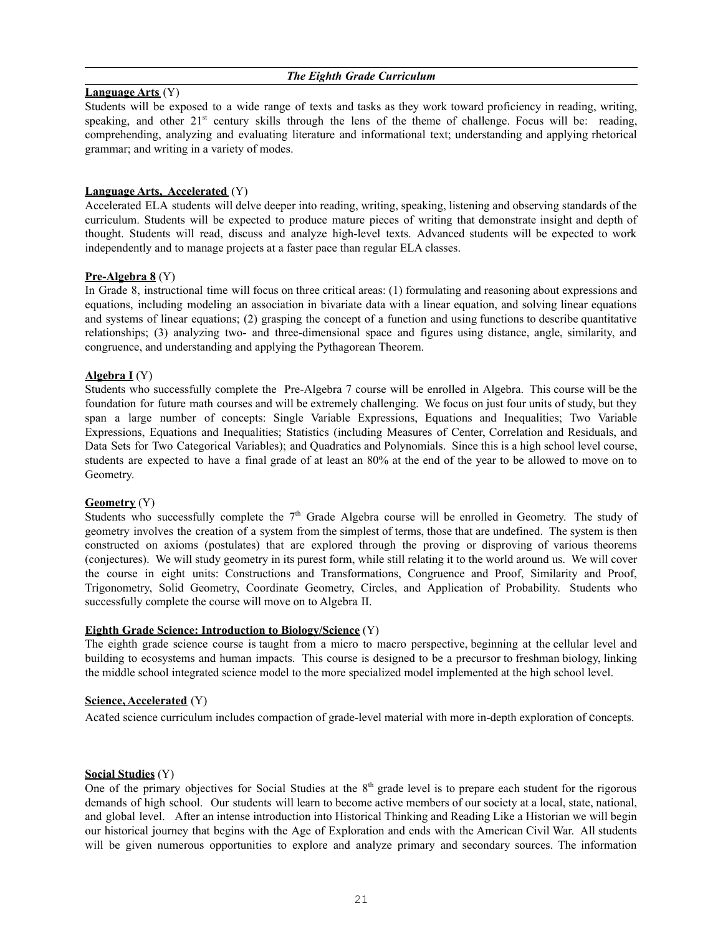### *The Eighth Grade Curriculum*

# **Language Arts** (Y)

Students will be exposed to a wide range of texts and tasks as they work toward proficiency in reading, writing, speaking, and other  $21<sup>st</sup>$  century skills through the lens of the theme of challenge. Focus will be: reading, comprehending, analyzing and evaluating literature and informational text; understanding and applying rhetorical grammar; and writing in a variety of modes.

# **Language Arts, Accelerated** (Y)

Accelerated ELA students will delve deeper into reading, writing, speaking, listening and observing standards of the curriculum. Students will be expected to produce mature pieces of writing that demonstrate insight and depth of thought. Students will read, discuss and analyze high-level texts. Advanced students will be expected to work independently and to manage projects at a faster pace than regular ELA classes.

# **Pre-Algebra 8** (Y)

In Grade 8, instructional time will focus on three critical areas: (1) formulating and reasoning about expressions and equations, including modeling an association in bivariate data with a linear equation, and solving linear equations and systems of linear equations; (2) grasping the concept of a function and using functions to describe quantitative relationships; (3) analyzing two- and three-dimensional space and figures using distance, angle, similarity, and congruence, and understanding and applying the Pythagorean Theorem.

# **Algebra I** (Y)

Students who successfully complete the Pre-Algebra 7 course will be enrolled in Algebra. This course will be the foundation for future math courses and will be extremely challenging. We focus on just four units of study, but they span a large number of concepts: Single Variable Expressions, Equations and Inequalities; Two Variable Expressions, Equations and Inequalities; Statistics (including Measures of Center, Correlation and Residuals, and Data Sets for Two Categorical Variables); and Quadratics and Polynomials. Since this is a high school level course, students are expected to have a final grade of at least an 80% at the end of the year to be allowed to move on to Geometry.

# **Geometry** (Y)

Students who successfully complete the  $7<sup>th</sup>$  Grade Algebra course will be enrolled in Geometry. The study of geometry involves the creation of a system from the simplest of terms, those that are undefined. The system is then constructed on axioms (postulates) that are explored through the proving or disproving of various theorems (conjectures). We will study geometry in its purest form, while still relating it to the world around us. We will cover the course in eight units: Constructions and Transformations, Congruence and Proof, Similarity and Proof, Trigonometry, Solid Geometry, Coordinate Geometry, Circles, and Application of Probability. Students who successfully complete the course will move on to Algebra II.

#### **Eighth Grade Science: Introduction to Biology/Science** (Y)

The eighth grade science course is taught from a micro to macro perspective, beginning at the cellular level and building to ecosystems and human impacts. This course is designed to be a precursor to freshman biology, linking the middle school integrated science model to the more specialized model implemented at the high school level.

#### **Science, Accelerated** (Y)

Acated science curriculum includes compaction of grade-level material with more in-depth exploration of concepts.

#### **Social Studies** (Y)

One of the primary objectives for Social Studies at the  $8<sup>th</sup>$  grade level is to prepare each student for the rigorous demands of high school. Our students will learn to become active members of our society at a local, state, national, and global level. After an intense introduction into Historical Thinking and Reading Like a Historian we will begin our historical journey that begins with the Age of Exploration and ends with the American Civil War. All students will be given numerous opportunities to explore and analyze primary and secondary sources. The information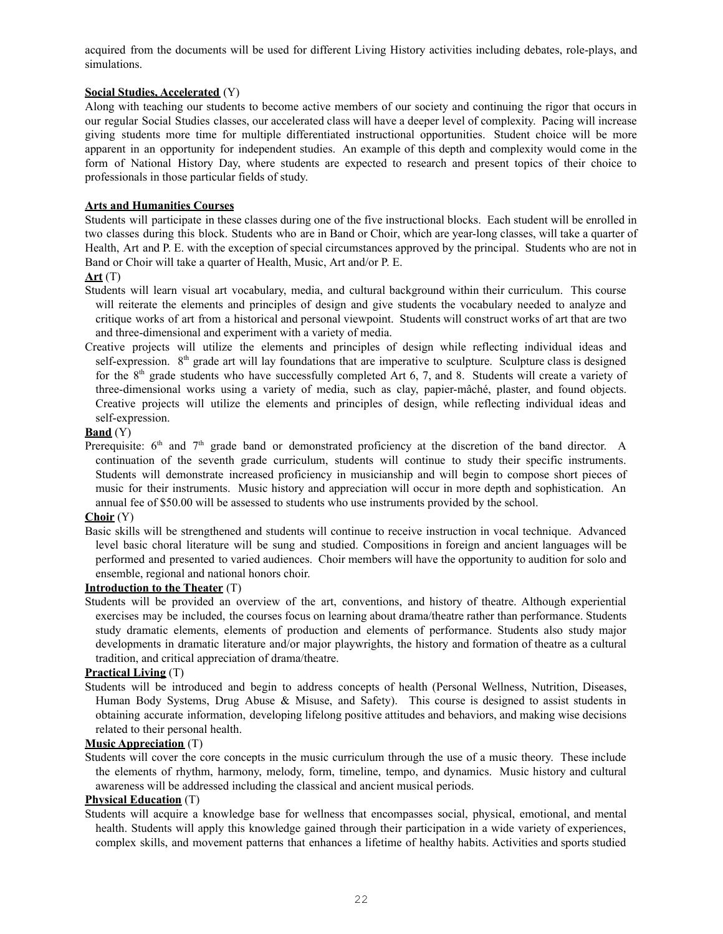acquired from the documents will be used for different Living History activities including debates, role-plays, and simulations.

# **Social Studies, Accelerated** (Y)

Along with teaching our students to become active members of our society and continuing the rigor that occurs in our regular Social Studies classes, our accelerated class will have a deeper level of complexity. Pacing will increase giving students more time for multiple differentiated instructional opportunities. Student choice will be more apparent in an opportunity for independent studies. An example of this depth and complexity would come in the form of National History Day, where students are expected to research and present topics of their choice to professionals in those particular fields of study.

# **Arts and Humanities Courses**

Students will participate in these classes during one of the five instructional blocks. Each student will be enrolled in two classes during this block. Students who are in Band or Choir, which are year-long classes, will take a quarter of Health, Art and P. E. with the exception of special circumstances approved by the principal. Students who are not in Band or Choir will take a quarter of Health, Music, Art and/or P. E.

# **Art** (T)

- Students will learn visual art vocabulary, media, and cultural background within their curriculum. This course will reiterate the elements and principles of design and give students the vocabulary needed to analyze and critique works of art from a historical and personal viewpoint. Students will construct works of art that are two and three-dimensional and experiment with a variety of media.
- Creative projects will utilize the elements and principles of design while reflecting individual ideas and self-expression.  $8<sup>th</sup>$  grade art will lay foundations that are imperative to sculpture. Sculpture class is designed for the  $8<sup>th</sup>$  grade students who have successfully completed Art 6, 7, and 8. Students will create a variety of three-dimensional works using a variety of media, such as clay, papier-mâché, plaster, and found objects. Creative projects will utilize the elements and principles of design, while reflecting individual ideas and self-expression.

# **Band** (Y)

Prerequisite:  $6<sup>th</sup>$  and  $7<sup>th</sup>$  grade band or demonstrated proficiency at the discretion of the band director. A continuation of the seventh grade curriculum, students will continue to study their specific instruments. Students will demonstrate increased proficiency in musicianship and will begin to compose short pieces of music for their instruments. Music history and appreciation will occur in more depth and sophistication. An annual fee of \$50.00 will be assessed to students who use instruments provided by the school.

# **Choir** (Y)

Basic skills will be strengthened and students will continue to receive instruction in vocal technique. Advanced level basic choral literature will be sung and studied. Compositions in foreign and ancient languages will be performed and presented to varied audiences. Choir members will have the opportunity to audition for solo and ensemble, regional and national honors choir.

# **Introduction to the Theater** (T)

Students will be provided an overview of the art, conventions, and history of theatre. Although experiential exercises may be included, the courses focus on learning about drama/theatre rather than performance. Students study dramatic elements, elements of production and elements of performance. Students also study major developments in dramatic literature and/or major playwrights, the history and formation of theatre as a cultural tradition, and critical appreciation of drama/theatre.

# **Practical Living** (T)

Students will be introduced and begin to address concepts of health (Personal Wellness, Nutrition, Diseases, Human Body Systems, Drug Abuse & Misuse, and Safety). This course is designed to assist students in obtaining accurate information, developing lifelong positive attitudes and behaviors, and making wise decisions related to their personal health.

# **Music Appreciation** (T)

Students will cover the core concepts in the music curriculum through the use of a music theory. These include the elements of rhythm, harmony, melody, form, timeline, tempo, and dynamics. Music history and cultural awareness will be addressed including the classical and ancient musical periods.

# **Physical Education** (T)

Students will acquire a knowledge base for wellness that encompasses social, physical, emotional, and mental health. Students will apply this knowledge gained through their participation in a wide variety of experiences, complex skills, and movement patterns that enhances a lifetime of healthy habits. Activities and sports studied